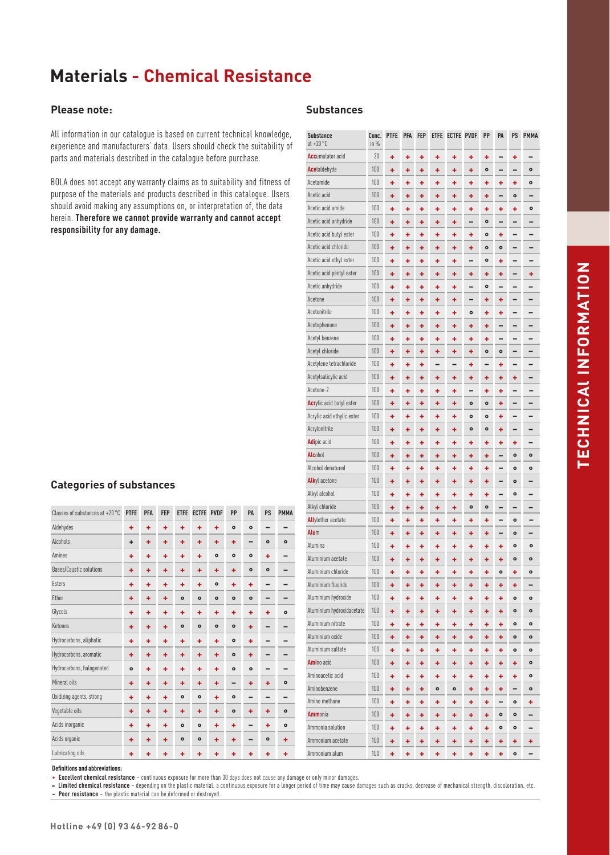#### **Please note:**

All information in our catalogue is based on current technical knowledge, experience and manufacturers' data. Users should check the suitability of parts and materials described in the catalogue before purchase.

BOLA does not accept any warranty claims as to suitability and fitness of purpose of the materials and products described in this catalogue. Users should avoid making any assumptions on, or interpretation of, the data herein. **Therefore we cannot provide warranty and cannot accept responsibility for any damage.**

#### **Substances**

| <b>Substance</b><br>$at + 20 °C$ | Conc.<br>in $%$ | <b>PTFE</b> | <b>PFA</b> | <b>FEP</b> | <b>ETFE</b> | <b>ECTFE PVDF</b> |           | PP        | PA        | PS        | <b>PMMA</b> |
|----------------------------------|-----------------|-------------|------------|------------|-------------|-------------------|-----------|-----------|-----------|-----------|-------------|
| <b>Accumulator acid</b>          | 20              | ٠           | ٠          | ۰          | ٠           | ٠                 | ٠         | ٠         |           | ٠         |             |
| <b>Ace</b> taldehyde             | 100             | ٠           | ٠          | ٠          | ٠           | ٠                 | ٠         | $\bullet$ |           |           | $\bullet$   |
| Acetamide                        | 100             | ÷           | ٠          | ٠          | ٠           | ٠                 | ٠         | ٠         | ٠         | ٠         | $\bullet$   |
| Acetic acid                      | 100             | ٠           | ٠          | ۰          | ٠           | ٠                 | ٠         | ٠         |           | $\bullet$ |             |
| Acetic acid amide                | 100             | ۰           | ۰          | ۰          | ۰           | ۰                 | ٠         | ٠         | ۰         | ٠         | $\bullet$   |
| Acetic acid anhydride            | 100             | ٠           | ٠          | ٠          | ٠           | ٠                 |           | $\bullet$ |           |           |             |
| Acetic acid butyl ester          | 100             | ٠           | ٠          | ٠          | ٠           | ٠                 | ٠         | ۰         | ٠         |           |             |
| Acetic acid chloride             | 100             | +           | +          | +          | ٠           | +                 | ٠         | $\bullet$ | ۰         |           |             |
| Acetic acid ethyl ester          | 100             | ÷           | ٠          | ٠          | ٠           | ٠                 |           | $\bullet$ | ٠         |           |             |
| Acetic acid pentyl ester         | 100             | ٠           | ٠          | ٠          | ٠           | ٠                 | ٠         | ٠         | ٠         |           | ٠           |
| Acetic anhydride                 | 100             | ٠           | ٠          | ٠          | ٠           | ٠                 |           | $\bullet$ |           |           |             |
| Acetone                          | 100             | ٠           | ٠          | ٠          | ٠           | ٠                 |           | ٠         | ٠         |           |             |
| Acetonitrile                     | 100             | ٠           | ٠          | ٠          | ٠           | ٠                 | $\bullet$ | ٠         | ٠         |           |             |
| Acetophenone                     | 100             | ٠           | +          | +          | ٠           | +                 | ٠         | ٠         |           |           |             |
| Acetyl benzene                   | 100             | ۰           | ٠          | ٠          | ۰           | ٠                 | ٠         | ۰         |           |           |             |
| Acetyl chloride                  | 100             | ٠           | ٠          | ٠          | ٠           | ٠                 | ٠         | $\bullet$ | $\bullet$ |           |             |
| Acetylene tetrachloride          | 100             | ٠           | ٠          | ٠          |             |                   | ٠         |           | ٠         |           |             |
| Acetylsalicylic acid             | 100             | ٠           | ٠          | ٠          | ٠           | ٠                 | ٠         | ٠         | ٠         | ٠         |             |
| Acetone-2                        | 100             | ٠           | ٠          | ٠          | ٠           | ٠                 |           | ٠         | ٠         |           |             |
| <b>Acrylic acid butyl ester</b>  | 100             | ٠           | ٠          | ٠          | ٠           | ٠                 | $\bullet$ | $\bullet$ | ٠         |           |             |
| Acrylic acid ethylic ester       | 100             | ٠           | ٠          | ۰          | ٠           | ٠                 | $\bullet$ | $\bullet$ | ٠         |           |             |
| Acrylonitrile                    | 100             | ٠           | ٠          | ٠          | ٠           | ٠                 | $\bullet$ | $\bullet$ | ٠         | -         | -           |
| <b>Adipic</b> acid               | 100             | ٠           | ٠          | ٠          | ٠           | ٠                 | ٠         | ٠         | ٠         | ٠         |             |
| Alcohol                          | 100             | ٠           | ٠          | ٠          | ٠           | ٠                 | ٠         | ٠         |           | $\bullet$ | $\bullet$   |
| Alcohol denatured                | 100             | ٠           | ٠          | ٠          | ٠           | ٠                 | ٠         | ٠         |           | $\bullet$ | $\bullet$   |
| <b>Alkyl</b> acetone             | 100             | ÷           | ٠          | ٠          | ٠           | ٠                 | ٠         | ٠         |           | $\bullet$ |             |
| Alkyl alcohol                    | 100             | ٠           | ۰          | ۰          | ٠           | ٠                 | ٠         | ۰         |           | $\bullet$ |             |
| Alkyl chloride                   | 100             | ٠           | ٠          | ٠          | ٠           | ٠                 | $\bullet$ | $\bullet$ |           |           |             |
| <b>Allylether acetate</b>        | 100             | ٠           | ٠          | ٠          | ٠           | ٠                 | ٠         | ٠         |           | $\bullet$ |             |
| Alum                             | 100             | ÷           | ٠          | ٠          | ٠           | ٠                 | ٠         | ٠         | -         | $\bullet$ |             |
| Alumina                          | 100             | +           | ٠          | ٠          | ٠           | ٠                 | ٠         | ٠         | ٠         | $\bullet$ | $\bullet$   |
| Aluminium acetate                | 100             | ÷           | ٠          | ٠          | ٠           | ٠                 | ٠         | ٠         | ٠         | $\bullet$ | $\bullet$   |
| Aluminium chloride               | 100             | ٠           | ٠          | ٠          | ٠           | ٠                 | ٠         | ٠         | $\bullet$ | ٠         | $\bullet$   |
| Aluminium fluoride               | 100             | ٠           | ٠          | ٠          | ٠           | ٠                 | ٠         | ٠         | ٠         | ٠         | -           |
| Aluminium hydroxide              | 100             | ٠           | ۰          | ۰          | ۰           | ٠                 | ٠         | ٠         | ٠         | $\bullet$ | ۰           |
| Aluminium hydroxidacetate        | 100             | ٠           | ٠          | ÷          | ٠           | ÷                 | ٠         | ÷.        | ÷         | ۰         | $\bullet$   |
| Aluminium nitrate                | 100             | ٠           | ٠          | ٠          | ٠           | ٠                 | ٠         | ٠         | ۰         | ۰         | ۰           |
| Aluminium oxide                  | 100             | ٠           | ٠          | ٠          | ٠           | ٠                 | ٠         | ٠         | ٠         | ۰         | ۰           |
| Aluminium sulfate                | 100             | ÷           | ٠          | ٠          | ٠           | ٠                 | ٠         | ÷         | ٠         | ۰         | ۰           |
| Amino acid                       | 100             | ٠           | ٠          | ٠          | ٠           | ٠                 | ٠         | ٠         | ٠         | ٠         | ۰           |
| Aminoacetic acid                 | 100             | ٠           | ٠          | ٠          | ٠           | ٠                 | ٠         | ٠         | ۰         | ٠         | $\bullet$   |
| Aminobenzene                     | 100             | ٠           | ٠          | ÷          | $\bullet$   | $\bullet$         | ÷         | ÷         | ٠         | -         | ۰           |
| Amino methane                    | 100             | ٠           | ٠          | ٠          | ٠           | ٠                 | ٠         | ٠         |           | ۰         | ٠           |
| <b>Amm</b> onia                  | 100             | ٠           | ٠          | ٠          | ٠           | ٠                 | ٠         | ٠         | $\bullet$ | ۰         | -           |
| Ammonia solution                 | 100             | ÷           | ٠          | ٠          | ٠           | ٠                 | ٠         | ٠         | $\bullet$ | ۰         | -           |
| Ammonium acetate                 | 100             | ٠           | ٠          | ٠          | ٠           | ٠                 | ٠         | ٠         | ٠         | ٠         | ٠           |
| Ammonium alum                    | 100             | ÷           | ٠          | ÷          | ÷           | ÷                 | ٠         | ÷         | ÷         | $\bullet$ |             |

#### **Categories of substances**

| Classes of substances at +20 °C | <b>PTFE</b> | PFA | <b>FEP</b> | <b>ETFE</b> | <b>ECTFE PVDF</b> |           | PP        | PA        | PS        | <b>PMMA</b> |
|---------------------------------|-------------|-----|------------|-------------|-------------------|-----------|-----------|-----------|-----------|-------------|
| Aldehydes                       | ٠           | ٠   | ٠          | ÷           | ٠                 | ٠         | $\circ$   | $\circ$   |           |             |
| Alcohols                        | ÷           | ÷   | ÷          | ٠           | ٠                 | ÷         | ÷         | -         | $\circ$   | $\circ$     |
| Amines                          | ÷           | ÷   | ÷          | ٠           | ÷                 | $\circ$   | $\circ$   | $\bullet$ | ÷         |             |
| Bases/Caustic solutions         | ٠           | ٠   | ÷          | ٠           | ٠                 | ÷         | ٠         | $\bullet$ | $\circ$   |             |
| <b>Fsters</b>                   | ÷           | ÷   | ÷          | ÷           | ÷                 | $\bullet$ | ÷         | ÷         |           |             |
| Ether                           | ٠           | ٠   | ÷          | $\bullet$   | $\circ$           | $\circ$   | $\circ$   | $\circ$   |           |             |
| Glycols                         | ÷           | ÷   | ÷          | ÷           | ÷                 | ÷         | ÷         | ÷         | ÷         | $\circ$     |
| Ketones                         | ٠           | ÷   | ÷          | $\bullet$   | $\circ$           | $\circ$   | $\circ$   | ٠         |           |             |
| Hydrocarbons, aliphatic         | ÷           | ٠   | ÷          | ÷           | ٠                 | ÷         | $\circ$   | ÷         |           |             |
| Hydrocarbons, aromatic          | ٠           | ٠   | ÷          | ٠           | ٠                 | ÷         | $\bullet$ | ٠         |           |             |
| Hydrocarbons, halogenated       | $\bullet$   | ÷   | ÷          | ÷           | ٠                 | ÷         | $\circ$   | $\circ$   |           |             |
| Mineral oils                    | ٠           | ÷   | ÷          | ٠           | ٠                 | ÷         |           | ٠         | ÷         | $\circ$     |
| Oxidizing agents, strong        | ÷           | ÷   | ÷          | $\bullet$   | $\circ$           | ÷         | $\circ$   |           |           |             |
| Vegetable oils                  | ٠           | ٠   | ÷          | ٠           | ٠                 | ÷         | $\bullet$ | ٠         | ÷         | $\circ$     |
| Acids inorganic                 | ÷           | ÷   | ÷          | $\circ$     | $\circ$           | ÷         | ÷         | -         | ÷         | $\circ$     |
| Acids organic                   | ٠           | ٠   | ÷          | $\bullet$   | $\circ$           | ÷         | ٠         |           | $\bullet$ | ٠           |
| Lubricating oils                | ٠           | ٠   | ÷          | ÷           | ٠                 | ٠         | ÷         | ٠         | ٠         | ٠           |

**+ Excellent chemical resistance** – continuous exposure for more than 30 days does not cause any damage or only minor damages.

**° Limited chemical resistance** – depending on the plastic material, a continuous exposure for a longer period of time may cause damages such as cracks, decrease of mechanical strength, discoloration, etc.

**Hotline +49 (0) 93 46-92 86-0**

**– Poor resistance** – the plastic material can be deformed or destroyed.

**Definitions and abbreviations:**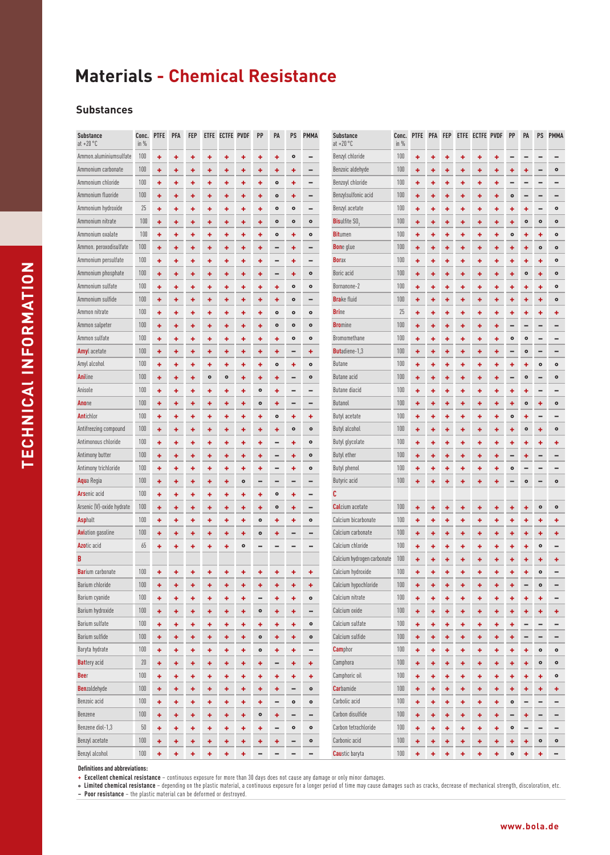#### **Substances**

| <b>Substance</b><br>at $+20$ °C | in %    | Conc. PTFE | <b>PFA</b> | <b>FEP</b> |           | ETFE ECTFE PVDF |           | PP        | PA        | PS                       | <b>PMMA</b>                  | <b>Substance</b><br>$at + 20 °C$ | Conc.<br>in $%$ | <b>PTFE</b> | <b>PFA</b> | FEP |   | ETFE ECTFE PVDF |   | PP        | PA        | PS        | <b>PMMA</b>       |
|---------------------------------|---------|------------|------------|------------|-----------|-----------------|-----------|-----------|-----------|--------------------------|------------------------------|----------------------------------|-----------------|-------------|------------|-----|---|-----------------|---|-----------|-----------|-----------|-------------------|
| Ammon.aluminiumsulfate          | 100     | ÷          | ٠          | ٠          | ٠         | ٠               | ۰         | ۰         | ۰         | $\bullet$                |                              | Benzyl chloride                  | 100             | ٠           | ٠          | ۰   | ٠ | ۰               | ۰ |           |           |           |                   |
| Ammonium carbonate              | 100     | ٠          | ٠          | ٠          | ٠         | ٠               | ٠         | ۰         | ٠         | ٠                        | -                            | Benzoic aldehyde                 | 100             | ۰           |            | ۰   | ٠ | ٠               | ٠ |           |           |           | $\bullet$         |
| Ammonium chloride               | 100     | ٠          | ٠          | ٠          | ٠         | ٠               | ٠         | ۰         | $\bullet$ | ٠                        | -                            | Benzoyl chloride                 | 100             | ۰           | ٠          | ۰   | ٠ | ٠               | ۰ |           |           |           |                   |
| Ammonium fluoride               | 100     | ٠          | ۰          | ۰          | ٠         | ٠               | ٠         | ۰         | $\bullet$ | ٠                        | -                            | Benzylsulfonic acid              | 100             | ۰           | ۰          | ۰   | ٠ | ٠               | ٠ | $\bullet$ |           |           |                   |
| Ammonium hydroxide              | 25      | ٠          | ٠          | ٠          | ٠         | ٠               | ۰         | ۰         | $\bullet$ | $\bullet$                | -                            | Benzyl acetate                   | 100             | ٠           | ٠          | ۰   | ٠ | ۰               | ۰ | ٠         | ۰         |           | $\bullet$         |
| Ammonium nitrate                | 100     | ÷          | ٠          | ٠          | ٠         | ٠               | ٠         | ٠         | $\bullet$ | $\bullet$                | $\bullet$                    | <b>Bisulfite SO</b>              | 100             | ٠           | ٠          | ٠   | ٠ | ٠               | ٠ | ٠         | $\bullet$ | $\bullet$ | $\bullet$         |
| Ammonium oxalate                | 100     | ٠          | ٠          | ٠          | ۰         | ٠               | ۰         | ۰         | $\bullet$ | ٠                        | $\bullet$                    | <b>Bitumen</b>                   | 100             | ٠           | ۰          | ۰   | ۰ | ۰               | ٠ | $\bullet$ | ٠         | ٠         | $\bullet$         |
| Ammon. peroxodisulfate          | 100     | ÷          | ÷          | ÷          | ٠         | ٠               | ٠         | ٠         |           | ٠                        | -                            | <b>Bon</b> e glue                | 100             | ٠           | ٠          | ۰   | ٠ | ٠               | ٠ | ٠         | ۰         | $\bullet$ | $\bullet$         |
| Ammonium persulfate             | 100     | ٠          | ٠          | ٠          | ٠         | ٠               | ٠         | ۰         |           | ٠                        | -                            | <b>Borax</b>                     | 100             | ۰           | +          | ۰   | + | ٠               | ٠ | +         | ۰         | ٠         | $\bullet$         |
| Ammonium phosphate              | 100     | ٠          | ٠          | ٠          | ٠         | ٠               | ٠         | ٠         |           | ۰                        | $\bullet$                    | Boric acid                       | 100             | ٠           | ۰          | ٠   | ٠ | ٠               | ٠ | ۰         | $\bullet$ | ÷         | $\bullet$         |
| Ammonium sulfate                | 100     | ÷          | ÷          | ٠          | ٠         | ٠               | ٠         | ٠         | ٠         | $\bullet$                | $\bullet$                    | Bornanone-2                      | 100             | ٠           | ٠          | ۰   | ٠ | ٠               | ٠ | ٠         | ٠         | ٠         | $\bullet$         |
| Ammonium sulfide                | 100     | ÷          | ٠          | ٠          | ٠         | ٠               | ٠         | ٠         | ٠         | $\bullet$                | -                            | <b>Brake fluid</b>               | 100             | ٠           | ٠          | ۰   | ٠ | ٠               | ٠ | ٠         | ٠         | ٠         | $\bullet$         |
| Ammon nitrate                   | 100     | ٠          | ٠          | ٠          | ٠         | ٠               | ۰         | ۰         | $\bullet$ | $\bullet$                | $\bullet$                    | <b>Brine</b>                     | 25              | ٠           | ۰          | ۰   | ٠ | ۰               | ٠ | ۰         |           |           | ٠                 |
| Ammon salpeter                  | 100     | ÷          | ٠          | ÷          | ٠         | ٠               | ٠         | ٠         | $\bullet$ | $\bullet$                | $\bullet$                    | <b>Bromine</b>                   | 100             | ٠           | ٠          | ۰   | ٠ | ٠               | ٠ |           |           |           |                   |
| Ammon sulfate                   | 100     | ٠          | ٠          | ٠          | ٠         | ٠               | ٠         | ٠         | ٠         | $\bullet$                | $\bullet$                    | Bromomethane                     | 100             | ۰           | ۰          | ۰   | ٠ | ۰               | ۰ | $\circ$   | $\bullet$ |           |                   |
| <b>Amyl</b> acetate             | 100     | ÷          | ٠          | ٠          | ٠         | ٠               | ٠         | ٠         | ۰         |                          | ٠                            | <b>Butadiene-1,3</b>             | 100             | ٠           | ٠          | ٠   | ٠ | ٠               | ۰ |           | $\bullet$ |           |                   |
| Amyl alcohol                    | 100     | ٠          | ٠          | ٠          | ٠         | ۰               | ۰         | ۰         | $\bullet$ | ٠                        | $\bullet$                    | Butane                           | 100             | ٠           | ۰          | ۰   | ۰ | ۰               | ٠ | ٠         | ۰         | $\bullet$ | $\bullet$         |
| <b>Aniline</b>                  | 100     | ÷          | ٠          | ٠          | $\bullet$ | $\bullet$       | ٠         | ۰         | ٠         |                          | $\bullet$                    | Butane acid                      | 100             | ٠           | ٠          | ٠   | ٠ | ٠               | ٠ |           | $\bullet$ |           | $\bullet$         |
| Anisole                         | 100     | ÷          | ٠          | ٠          | ٠         | ٠               | ٠         | $\bullet$ | ۰         |                          | -                            | Butane diacid                    | 100             | ٠           | ٠          | ۰   | ٠ | ٠               | ۰ | ۰         | ۰         |           |                   |
| Anone                           | 100     | ٠          | ٠          | ٠          | ٠         | ٠               | ۰         | $\bullet$ | ۰         | $\overline{\phantom{0}}$ | -                            | Butanol                          | 100             | ۰           | ٠          | ۰   | ٠ | ۰               | ٠ | ۰         | $\bullet$ | ٠         | $\bullet$         |
| Antichlor                       | 100     | ÷          | ٠          | ٠          | ٠         | ٠               | ۰         | ۰         | $\bullet$ | ۰                        | ٠                            | Butyl acetate                    | 100             | ٠           | ٠          | ۰   | ٠ | ۰               | ۰ | $\bullet$ | ۰         |           |                   |
| Antifreezing compound           | 100     | ÷          | ٠          | ٠          | ٠         | ÷               | ٠         | ٠         | ۰         | $\bullet$                | $\bullet$                    | <b>Butyl alcohol</b>             | 100             | ٠           | ٠          | ٠   | ٠ | ٠               | ۰ | ٠         | $\bullet$ | ٠         | $\bullet$         |
| Antimonous chloride             | 100     | ٠          | ٠          | ٠          | ۰         | ٠               | ۰         | ۰         |           | ۰                        | $\bullet$                    | Butyl glycolate                  | 100             | ٠           | ۰          | ٠   | ٠ | ۰               | ٠ | ۰         | ۰         | ٠         | ٠                 |
| Antimony butter                 | 100     | ÷          | ٠          | ٠          | ٠         | ٠               | ٠         | ٠         |           | ٠                        | $\bullet$                    | <b>Butyl ether</b>               | 100             | ٠           | ٠          | ٠   | ٠ | ۰               | ٠ |           |           |           |                   |
| Antimony trichloride            | 100     | ÷          | ٠          | ٠          | ٠         | ٠               | ٠         | ٠         |           | ٠                        | $\bullet$                    | <b>Butyl phenol</b>              | 100             | ٠           |            | ۰   | ٠ | ٠               | ٠ | $\circ$   |           |           |                   |
| Aqua Regia                      | 100     | ٠          | ٠          | ٠          | ٠         | ٠               | $\circ$   |           |           |                          | -                            | Butyric acid                     | 100             | ۰           | ٠          |     | + | ٠               | ۰ |           | $\bullet$ |           | $\bullet$         |
| <b>Arsenic acid</b>             | 100     | ٠          | ٠          | ٠          | ٠         | ۰               | ۰         | ۰         | $\bullet$ | ٠                        | -                            | C                                |                 |             |            |     |   |                 |   |           |           |           |                   |
| Arsenic (V)-oxide hydrate       | 100     | ٠          | ٠          | ٠          | ٠         | ٠               | ٠         | ۰         | $\bullet$ | ٠                        | -                            | <b>Calcium</b> acetate           | 100             | ۰           | ٠          | ۰   | ٠ | ٠               | ۰ | ٠         | ۰         | $\bullet$ | $\bullet$         |
| <b>Asphalt</b>                  | 100     | ٠          | ٠          | ٠          | ٠         | ٠               | ۰         | $\bullet$ | ۰         | ٠                        | $\bullet$                    | Calcium bicarbonate              | 100             | ۰           | ٠          | ۰   | ٠ | ٠               | ٠ | ٠         | ۰         | ٠         | ٠                 |
| <b>Avi</b> ation gasoline       | 100     | ۰          | ٠          | ٠          | ٠         | ٠               | ٠         | $\bullet$ | ۰         |                          | -                            | Calcium carbonate                | 100             | ۰           | ٠          | ۰   | ٠ | ۰               | ٠ |           |           |           | ٠                 |
| <b>Azotic</b> acid              | 65      | ٠          | ٠          | ٠          | ٠         | ٠               | $\bullet$ |           |           |                          | -                            | Calcium chloride                 | 100             | ۰           | ٠          | ۰   | ٠ | ۰               | ۰ | ۰         | ۰         | $\circ$   |                   |
| B                               |         |            |            |            |           |                 |           |           |           |                          |                              | Calcium hydrogen carbonate       | 100             | ٠           |            |     | ٠ | ٠               | ٠ |           |           |           | ٠                 |
| <b>Barium</b> carbonate         | 100     |            |            |            | ٠         | ٠               | ٠         | ۰         | ۰         | ٠                        | ÷                            | Calcium hydroxide                | 100             | ٠           | +          |     | ٠ | ٠               | ٠ | +         | ٠         | $\bullet$ |                   |
| Barium chloride                 | $100\,$ | ٠          | ٠          | ٠          | ٠         | ٠               | ٠         | ۰         | ٠         | ٠                        | ٠                            | Calcium hypochloride             | 100             | ۰           | ٠          | ٠   | ٠ | ٠               | ۰ | ٠         | -         | $\bullet$ | ۰                 |
| Barium cyanide                  | 100     | ÷          | ٠          | ٠          | ٠         | ٠               | ٠         |           | ٠         | ٠                        | $\bullet$                    | Calcium nitrate                  | 100             | ٠           | ٠          | ۰   | ٠ | ٠               | ٠ | ٠         | ٠         | ٠         | -                 |
| Barium hydroxide                | 100     | ÷          | ٠          | ٠          | ٠         | ٠               | ٠         | $\bullet$ | ٠         | ٠                        | $\qquad \qquad \blacksquare$ | Calcium oxide                    | 100             | ٠           | ٠          | ٠   | ٠ | ٠               | ٠ | ۰         | ٠         | ٠         | ٠                 |
| Barium sulfate                  | 100     | ÷          | ÷          | ٠          | ٠         | ÷               | ٠         | ٠         | ٠         | ٠                        | $\bullet$                    | Calcium sulfate                  | 100             | ٠           | ٠          | ۰   | ÷ | ٠               | ٠ | ۰         |           |           | -                 |
| Barium sulfide                  | 100     | ٠          | ٠          | ٠          | ٠         | ٠               | ٠         | $\bullet$ | ٠         | ٠                        | $\bullet$                    | Calcium sulfide                  | 100             | ٠           | ٠          | ۰   | ٠ | ٠               | ٠ | ٠         |           |           | -                 |
| Baryta hydrate                  | 100     | ÷          | ٠          | ٠          | ٠         | ٠               | ٠         | $\bullet$ | ٠         | ٠                        | -                            | <b>Camphor</b>                   | 100             | ٠           | ٠          | ٠   | ٠ | ٠               | ٠ | ٠         | ٠         | ۰         | $\bullet$         |
| <b>Battery</b> acid             | 20      | ÷          | ÷          | ٠          | ٠         | ٠               | ٠         | ٠         | -         | ٠                        | ÷                            | Camphora                         | 100             | ÷           | ٠          | ٠   | ٠ | ٠               | ٠ | ٠         | ٠         | $\bullet$ | $\bullet$         |
| Beer                            | 100     | ÷          | ٠          | ٠          | ٠         | ٠               | ٠         | ٠         | ٠         | ٠                        | ÷                            | Camphoric oil                    | 100             | ٠           | ٠          | ٠   | ٠ | ٠               | ٠ | ٠         | ٠         | ٠         | $\bullet$         |
| <b>Benzaldehyde</b>             | 100     | ÷          | ÷          | ÷          | ٠         | ÷               | ٠         | ٠         | ٠         |                          | $\bullet$                    | <b>Car</b> bamide                | 100             | ÷           | ٠          | ٠   | ÷ | ٠               | ٠ | ٠         | ٠         | ÷         | ٠                 |
| Benzoic acid                    | 100     | ٠          | ÷          | ٠          | ٠         | ٠               | ۰         | ۰         |           | $\bullet$                | $\bullet$                    | Carbolic acid                    | 100             | ۰           | ۰          | ۰   | ٠ | ۰               | ٠ | $\bullet$ |           |           | -                 |
| Benzene                         | 100     | ٠          | ٠          | ٠          | ٠         | ٠               | ÷         | $\bullet$ | ٠         | -                        | -                            | Carbon disulfide                 | 100             | ٠           | ۰          | ۰   | ٠ | ٠               | ٠ | -         | ٠         |           | -                 |
| Benzene diol-1,3                | 50      | ٠          | ٠          | ٠          | ٠         | ٠               | ٠         | ٠         | -         | $\bullet$                | $\bullet$                    | Carbon tetrachloride             | 100             | ٠           | ٠          | ٠   | ٠ | ٠               | ٠ | $\bullet$ |           |           | -                 |
| Benzyl acetate                  | 100     | ٠          | ٠          | ٠          | ٠         | ٠               | ٠         | ٠         | ٠         | -                        | $\bullet$                    | Carbonic acid                    | 100             | ٠           | ٠          | ٠   | ٠ | ٠               | ٠ | ٠         | ٠         | $\bullet$ | $\bullet$         |
| Benzyl alcohol                  | $100\,$ | ٠          | ÷          | ٠          | ٠         | ÷               | ÷         |           | -         | -                        | -                            | <b>Caustic baryta</b>            | 100             | ÷           | ÷          | ٠   | ÷ | ÷               | ٠ | $\bullet$ | ٠         | ÷         | $\qquad \qquad -$ |

**Definitions and abbreviations:**

**+ Excellent chemical resistance** – continuous exposure for more than 30 days does not cause any damage or only minor damages.

• Limited chemical resistance – depending on the plastic material, a continuous exposure for a longer period of time may cause damages such as cracks, decrease of mechanical strength, discoloration, etc.<br>— Poor resistance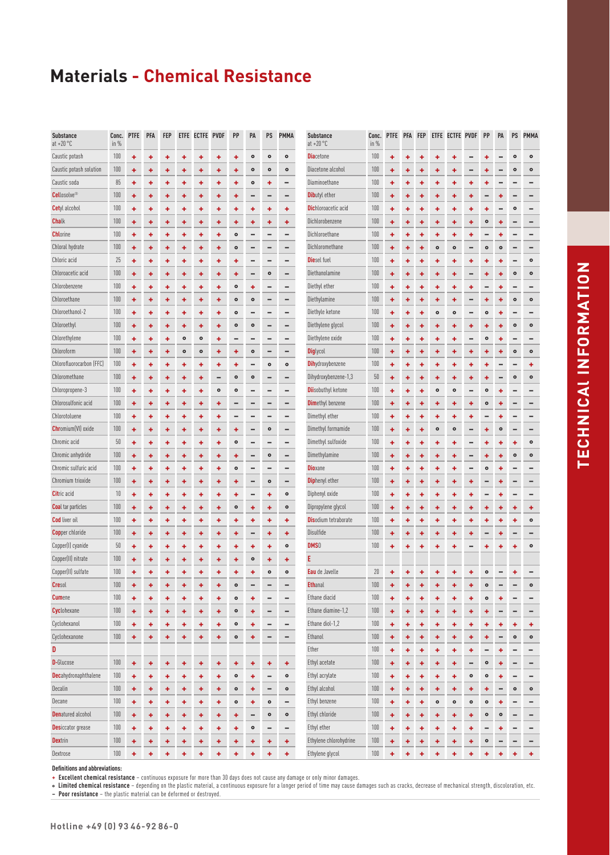| <b>Substance</b><br>$at + 20 °C$ | Conc.<br>in $%$ | <b>PTFE</b> | PFA | <b>FEP</b> |           | ETFE ECTFE PVDF |           | PP        | PA        | PS        | <b>PMMA</b>     | <b>Substance</b><br>at $+20$ °C | in $%$ | Conc. PTFE PFA |   | <b>FEP</b> |           | ETFE ECTFE PVDF |           | PP        | PA        | PS        | <b>PMMA</b> |
|----------------------------------|-----------------|-------------|-----|------------|-----------|-----------------|-----------|-----------|-----------|-----------|-----------------|---------------------------------|--------|----------------|---|------------|-----------|-----------------|-----------|-----------|-----------|-----------|-------------|
| Caustic potash                   | 100             | ٠           | ٠   | ٠          | ٠         | ۰               | ۰         | ٠         | $\bullet$ | $\bullet$ | $\bullet$       | <b>Diacetone</b>                | 100    | ٠              |   |            | ۰         |                 |           |           |           | $\bullet$ | $\bullet$   |
| Caustic potash solution          | 100             | ۰           | ٠   | ۰          | ٠         | ۰               | ۰         | ٠         | $\bullet$ | $\bullet$ | $\bullet$       | Diacetone alcohol               | 100    | ٠              |   |            | ۰         |                 |           |           |           | $\bullet$ | $\bullet$   |
| Caustic soda                     | 85              | ٠           | ٠   | ٠          | ٠         | ٠               | ٠         | ٠         | $\bullet$ | ٠         | -               | Diaminoethane                   | 100    | ٠              | ۰ | ٠          | ٠         | ۰               | ٠         |           |           |           |             |
| <b>Cellosolve</b> <sup>®</sup>   | 100             | ۰           | ٠   | ۰          | ٠         | ۰               | ٠         | ٠         |           | -         | -               | <b>Dibutyl</b> ether            | 100    | ٠              | ۰ | ۰          | ٠         | ٠               | ٠         |           | ٠         |           |             |
| <b>Cetyl</b> alcohol             | 100             | ۰           | ۰   | ٠          | ۰         | ۰               | ۰         | ٠         | ٠         | ٠         | ٠               | <b>Dichloroacetic acid</b>      | 100    | ٠              | ۰ |            | ٠         | ۰               | ٠         | ۰         |           | $\bullet$ |             |
| <b>Chalk</b>                     | 100             | ٠           | ٠   | ٠          | ٠         | ٠               | ٠         | ٠         | ٠         | ÷         | ٠               | Dichlorobenzene                 | 100    | ÷              | ٠ | ٠          | ٠         | ٠               | ÷         | $\bullet$ | ٠         |           |             |
| <b>Chl</b> orine                 | 100             | ٠           | ٠   | ٠          | ٠         | ٠               | ۰         | $\bullet$ |           |           | -               | Dichloroethane                  | 100    | ٠              | ۰ |            | ۰         | 4               | ٠         |           | ٠         |           |             |
| Chloral hydrate                  | 100             | ٠           | ٠   | ٠          | ٠         | ٠               | ٠         | $\bullet$ |           |           | -               | Dichloromethane                 | 100    | ٠              | ٠ |            | $\bullet$ | $\bullet$       |           | $\bullet$ | $\bullet$ |           |             |
| Chloric acid                     | 25              | ٠           | ٠   | ۰          | ٠         | ۰               | ٠         | ٠         |           |           | -               | <b>Die</b> sel fuel             | 100    | ٠              | ۰ | ٠          | ٠         | ٠               | ٠         | ۰         | ۰         |           | $\bullet$   |
| Chloroacetic acid                | 100             | ٠           | ٠   | ٠          | ٠         | ۰               | ٠         | ٠         | -         | $\bullet$ | -               | Diethanolamine                  | 100    | ٠              | ٠ | ٠          | ٠         | ٠               | -         | ٠         | ٠         | $\bullet$ | $\bullet$   |
| Chlorobenzene                    | 100             | ٠           | ٠   | ٠          | ٠         | ٠               | ۰         | $\bullet$ | ÷         |           |                 | Diethyl ether                   | 100    | ٠              | ٠ | ٠          | ٠         | ٠               | ٠         |           | ٠         |           |             |
| Chloroethane                     | 100             | ٠           | ٠   | ۰          | ٠         | ۰               | ۰         | $\bullet$ | $\circ$   | -         | -               | Diethylamine                    | 100    | ٠              | ۰ | ٠          | ٠         | ۰               |           |           | ۰         | $\circ$   | $\bullet$   |
| Chloroethanol-2                  | 100             | ٠           | ٠   | ٠          | ٠         | ۰               | ۰         | $\bullet$ |           |           | -               | Diethyle ketone                 | 100    | ٠              | ٠ | ٠          | $\bullet$ | $\bullet$       |           | $\bullet$ | ٠         |           |             |
| Chloroethyl                      | 100             | ۰           | ٠   | ٠          | ٠         | ٠               | ٠         | $\bullet$ | $\bullet$ |           |                 | Diethylene glycol               | 100    | ٠              |   |            | ٠         | ٠               | ٠         |           |           | $\bullet$ | ۰           |
| Chlorethylene                    | 100             | ۰           | ۰   | ۰          | $\bullet$ | $\bullet$       | ٠         |           |           |           | -               | Diethylene oxide                | 100    | ٠              | ۰ |            | ۰         | ۰               |           | $\bullet$ | ٠         |           |             |
| Chloroform                       | 100             | ٠           | ٠   | ٠          | $\bullet$ | $\bullet$       | ۰         | ٠         | $\bullet$ | -         | -               | <b>Diglycol</b>                 | 100    | ٠              | ٠ | ٠          | ٠         | ٠               | ÷         | ۰         | ٠         | $\bullet$ | $\bullet$   |
| Chlorofluorocarbon (FFC)         | 100             | ٠           | ٠   | ٠          | ٠         | ٠               | ۰         | ٠         |           | $\bullet$ | $\bullet$       | <b>Dihydroxybenzene</b>         | 100    | ٠              | ۰ | ۰          | ۰         | ٠               | ٠         |           |           |           | ٠           |
| Chloromethane                    | 100             | ۰           | ٠   | ٠          | ٠         | ۰               |           | $\bullet$ | $\bullet$ | -         | -               | Dihydroxybenzene-1,3            | 50     | ٠              | ۰ |            | ٠         | ۰               | ٠         |           |           | $\bullet$ | $\bullet$   |
| Chloropropene-3                  | 100             | ٠           | ٠   | ٠          | ٠         | ٠               | $\bullet$ | $\bullet$ |           | -         | -               | <b>Dii</b> sobuthyl ketone      | 100    | ٠              | ۰ | ۰          | $\bullet$ | $\bullet$       |           | ۰         | ۰         |           |             |
| Chlorosulfonic acid              | 100             | ٠           | ٠   | ٠          | ٠         | ۰               | ٠         |           |           |           | -               | <b>Dimethyl benzene</b>         | 100    | ٠              |   |            | ۰         | ٠               | ٠         | $\circ$   |           |           |             |
| Chlorotoluene                    | 100             | ٠           | ٠   | ٠          | ٠         | ۰               | ٠         |           |           |           | -               | Dimethyl ether                  | 100    | ٠              | ٠ | ٠          | ٠         | ۰               | ٠         |           | ٠         |           |             |
| <b>Chr</b> omium(VI) oxide       | 100             | ٠           | ٠   | ٠          | ٠         | ۰               | ٠         | ÷         | -         | $\bullet$ | -               | Dimethyl formamide              | 100    | ٠              | ٠ | ÷          | $\bullet$ | $\bullet$       | -         | ٠         | $\bullet$ | -         | -           |
| Chromic acid                     | 50              | ٠           | ٠   | ٠          | ٠         | ٠               | ۰         | $\bullet$ |           |           | -               | Dimethyl sulfoxide              | 100    | ٠              | ۰ | ٠          | ٠         | ٠               |           |           | ٠         | ٠         | $\bullet$   |
| Chromic anhydride                | 100             | ٠           | ٠   | ٠          | ٠         | ۰               | ٠         | ٠         |           | $\bullet$ | -               | Dimethylamine                   | 100    | ٠              | ٠ | ٠          | ٠         | ٠               |           | ٠         | ٠         | $\circ$   | $\bullet$   |
| Chromic sulfuric acid            | 100             | ۰           | ۰   | ۰          | ٠         | ۰               | ۰         | $\bullet$ |           | -         | -               | <b>Dioxane</b>                  | 100    | ۰              |   |            | ٠         | ٠               |           | $\circ$   |           |           |             |
| Chromium trioxide                | 100             | ٠           | ٠   | ٠          | ٠         | ۰               | ٠         | ٠         |           | $\bullet$ | -               | <b>Diphenyl ether</b>           | 100    | ٠              | ۰ | ٠          | ٠         | ۰               | ٠         |           | ۰         |           |             |
| <b>Citric acid</b>               | 10              | ۰           | ٠   | ٠          | ٠         | ۰               | ٠         | ٠         | -         | ٠         | $\bullet$       | Diphenyl oxide                  | 100    | ٠              | ٠ | ٠          | ٠         | ۰               | ٠         |           | ٠         |           |             |
| <b>Coal</b> tar particles        | 100             | ٠           | ٠   | ٠          | ٠         | ۰               | ٠         | $\bullet$ | ٠         | ÷         | $\bullet$       | Dipropylene glycol              | 100    | ٠              | ۰ |            | ٠         | ۰               | ٠         | ۰         | ۰         | ٠         | ٠           |
| <b>Cod</b> liver oil             | 100             | ٠           | ٠   | ٠          | ٠         | ۰               | ٠         | ٠         | ٠         | ÷         | ٠               | <b>Dis</b> odium tetraborate    | 100    | ٠              | ۰ | ۰          | ٠         | ۰               | ٠         | ۰         | ۰         | ٠         | $\bullet$   |
| <b>Copper chloride</b>           | 100             | ٠           | ٠   | ٠          | ٠         | ۰               | ٠         | ٠         |           | ٠         | ٠               | Disulfide                       | 100    |                | ٠ | +          | ٠         | ۰               | ٠         |           |           |           |             |
| Copper(I) cyanide                | 50              | ٠           | +   | ٠          | ٠         | ۰               | ٠         | ٠         | ٠         | ٠         | $\bullet$       | DMS <sub>0</sub>                | 100    | ٠              |   |            | ۰         |                 |           |           |           | ۰         | ۰           |
| Copper(II) nitrate               | 100             | ٠           | ٠   | ٠          | ٠         | ۰               | ۰         | ٠         | $\bullet$ | ÷         | ٠               |                                 |        |                |   |            |           |                 |           |           |           |           |             |
| Copper(II) sulfate               | 100             | ÷           | ٠   | ٠          | ٠         | ٠               |           | 4         | ٠         | $\circ$   | $\bullet$       | Eau de Javelle                  | 20     |                |   |            |           |                 |           | $\bullet$ |           |           |             |
| <b>Cresol</b>                    | 100             | ٠           | ٠   | ٠          | ٠         | ٠               | ٠         | ۰         |           |           | -               | <b>Ethanal</b>                  | 100    | ٠              | ۰ | ٠          | ٠         | ٠               | ٠         | $\circ$   |           |           | $\bullet$   |
| <b>Cumene</b>                    | 100             | ٠           | ٠   | ٠          | ٠         | ۰               | ٠         | $\bullet$ | ٠         | -         | -               | Ethane diacid                   | 100    | ٠              | ۰ | ٠          | ٠         | ۰               | ٠         | $\bullet$ | ٠         | -         |             |
| <b>Cyclohexane</b>               | 100             | ٠           | ÷   | ٠          | ٠         | ٠               | ٠         | $\bullet$ | ٠         | -         | -               | Ethane diamine-1,2              | 100    | ٠              | ٠ | ٠          | ٠         | ÷               | ٠         | ٠         |           | -         | -           |
| Cyclohexanol                     | 100             | ۰           | ٠   | ٠          | ٠         | ٠               | ٠         | $\bullet$ | ۰         |           |                 | Ethane diol-1,2                 | 100    | ٠              | ۰ | ٠          | ٠         | ٠               | ٠         |           | ۰         | ٠         | ٠           |
| Cyclohexanone                    | 100             | ٠           | ٠   | ٠          | ٠         | ٠               | ٠         | $\bullet$ | ٠         | -         | -               | Ethanol                         | 100    | ٠              | ٠ | ٠          | ٠         | ٠               | ٠         | ٠         | -         | $\bullet$ | $\bullet$   |
| D                                |                 |             |     |            |           |                 |           |           |           |           |                 | Ether                           | 100    | ٠              | ۰ | ÷          | ٠         | ٠               | ٠         | -         | ٠         | -         | -           |
| <b>D-</b> Glucose                | 100             | ٠           | ٠   | ٠          | ٠         | ٠               | ٠         | ٠         | ٠         | ٠         | ٠               | Ethyl acetate                   | 100    | ٠              | ۰ | ٠          | ٠         | ٠               | -         | $\bullet$ | ٠         | -         | -           |
| <b>Dec</b> ahydronaphthalene     | 100             | ٠           | ٠   | ۰          | ٠         | ۰               | ٠         | $\bullet$ | ٠         | -         | $\bullet$       | Ethyl acrylate                  | 100    | ٠              | ۰ | ٠          | ٠         | ٠               | ۰         | $\bullet$ | ۰         | -         | -           |
| Decalin                          | 100             | ٠           | ÷   | ٠          | ٠         | ٠               | ٠         | $\bullet$ | ٠         | -         | $\bullet$       | Ethyl alcohol                   | 100    | ٠              | ۰ | ٠          | ٠         | ٠               | ÷         | ٠         |           | $\bullet$ | $\bullet$   |
| Decane                           | 100             | ٠           | ٠   | ٠          | ٠         | ٠               | ٠         | $\bullet$ | ٠         | $\bullet$ | -               | Ethyl benzene                   | 100    | ٠              |   | ۰          | $\bullet$ | $\bullet$       | $\bullet$ | $\bullet$ | ۰         |           |             |
| <b>Denatured alcohol</b>         | 100             | ٠           | ٠   | ٠          | ٠         | ٠               | ٠         | ٠         | -         | $\bullet$ | $\bullet$       | Ethyl chloride                  | 100    | ٠              | ٠ | ٠          | ٠         | ٠               | ٠         | $\bullet$ | ۰         | -         | -           |
| <b>Desiccator</b> grease         | 100             | ٠           | ٠   | ٠          | ٠         | ۰               | ٠         | ٠         | $\bullet$ | -         | $\qquad \qquad$ | Ethyl ether                     | 100    | ٠              | ۰ | ٠          | ٠         | ٠               | ٠         | -         | ٠         | -         | -           |
| <b>Dextrin</b>                   | 100             | ٠           | ٠   | ٠          | ٠         | ٠               | ٠         | ٠         | ٠         | ٠         | ٠               | Ethylene chlorohydrine          | 100    | ٠              | ۰ | ٠          | ٠         | ٠               | ٠         | $\bullet$ |           | -         | -           |
| Dextrose                         | 100             | ÷           | ÷   | ٠          | ٠         | ٠               | ٠         | ÷         | ÷         | ÷         | ٠               | Ethylene glycol                 | 100    | ÷              | ٠ | ٠          | ٠         | ٠               | ٠         | ٠         | ٠         | ٠         | ÷           |

**Definitions and abbreviations:**

**+ Excellent chemical resistance** – continuous exposure for more than 30 days does not cause any damage or only minor damages.

**° Limited chemical resistance** – depending on the plastic material, a continuous exposure for a longer period of time may cause damages such as cracks, decrease of mechanical strength, discoloration, etc.

**– Poor resistance** – the plastic material can be deformed or destroyed.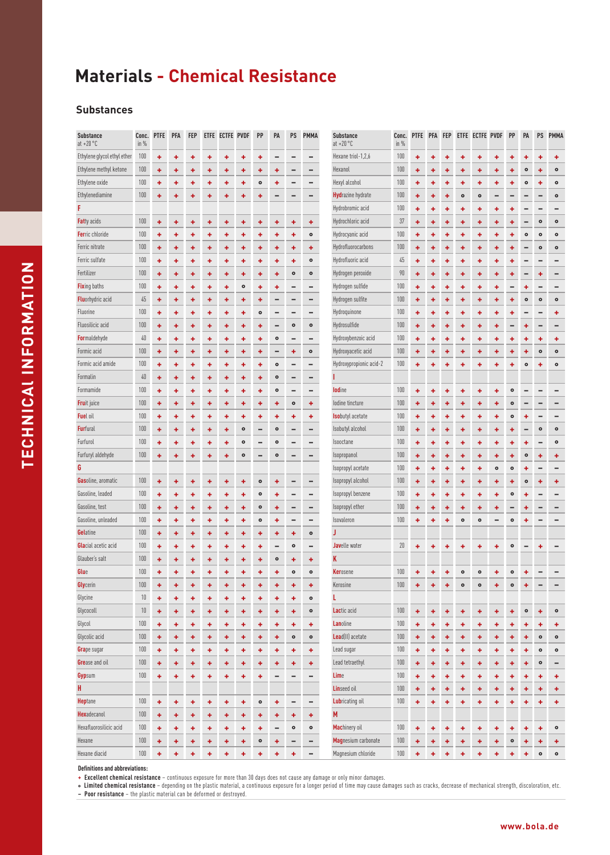#### **Substances**

| <b>Substance</b><br>at $+20\degree$ C | Conc.<br>in $%$ | <b>PTFE</b> | <b>PFA</b> | <b>FEP</b> |   | ETFE ECTFE PVDF |           | PP        | PA        | PS                           | <b>PMMA</b> | <b>Substance</b><br>at $+20 °C$ | Conc.<br>in $%$ | <b>PTFE</b> |   | PFA FEP |           | ETFE ECTFE PVDF |                | PP        | PA        | <b>PS</b> | <b>PMMA</b> |
|---------------------------------------|-----------------|-------------|------------|------------|---|-----------------|-----------|-----------|-----------|------------------------------|-------------|---------------------------------|-----------------|-------------|---|---------|-----------|-----------------|----------------|-----------|-----------|-----------|-------------|
| Ethylene glycol ethyl ether           | 100             | ÷           | ٠          | ٠          | ٠ | ٠               | ٠         | ٠         |           |                              |             | Hexane triol-1,2,6              | 100             | ÷           | ۰ | ۰       | +         | ٠               | ٠              | ٠         | ٠         |           | ٠           |
| Ethylene methyl ketone                | 100             | ٠           | ٠          |            | ٠ | ٠               | ٠         | ٠         | ٠         |                              |             | Hexanol                         | 100             | ٠           | ۰ | ۰       | ٠         | ٠               | ۰              | +         | ۰         |           | $\bullet$   |
| Ethylene oxide                        | 100             | ٠           | ٠          | ٠          | ٠ | ٠               | ۰         | ۰         | ٠         |                              |             | Hexyl alcohol                   | 100             | ٠           | ٠ | ٠       | ٠         | ٠               | ٠              | ٠         | $\bullet$ | ٠         | $\bullet$   |
| Ethylenediamine                       | 100             | ٠           | ٠          | ٠          | ٠ | ٠               | ٠         | ÷         | -         | $\overline{ }$               | -           | <b>Hydrazine</b> hydrate        | 100             | ٠           | ٠ | ٠       | ۰         | $\bullet$       | $\overline{ }$ |           |           |           | $\bullet$   |
|                                       |                 |             |            |            |   |                 |           |           |           |                              |             | Hydrobromic acid                | 100             | ٠           | ٠ | ٠       | ٠         | ٠               | ٠              | +         |           |           |             |
| <b>Fatty acids</b>                    | 100             | ٠           | ٠          |            | ٠ | ٠               | +         | ٠         | ÷         | ٠                            | ٠           | Hydrochloric acid               | 37              | ÷           | ٠ | ٠       | ٠         | ÷               | ٠              | ٠         |           | $\bullet$ | $\bullet$   |
| Ferric chloride                       | 100             | ٠           | ٠          | ۰          | ٠ | ۰               | ٠         | ٠         | ٠         | ٠                            | $\bullet$   | Hydrocyanic acid                | 100             | ٠           | ٠ | ۰       | ٠         | ۰               | ٠              | ٠         | $\bullet$ | $\circ$   | $\bullet$   |
| Ferric nitrate                        | 100             | ٠           | ٠          | ٠          | ٠ | ٠               | ٠         | ٠         | ٠         | ٠                            | ٠           | Hydrofluorocarbons              | 100             | ٠           | ٠ | ۰       | ٠         | ٠               | ٠              | ٠         |           | $\bullet$ | $\bullet$   |
| Ferric sulfate                        | 100             | ٠           | ٠          | ٠          | ٠ | ٠               | ٠         | ÷         | ٠         | ٠                            | $\bullet$   | Hydrofluoric acid               | 45              | ٠           | ٠ | ٠       | ٠         | ٠               | ٠              | ٠         |           |           |             |
| Fertilizer                            | 100             | ÷           | ٠          | ٠          | ٠ | ÷               | ٠         | ÷         | ٠         | $\bullet$                    | $\bullet$   | Hydrogen peroxide               | 90              | ÷           | ۰ | ٠       | ٠         | ٠               | ٠              | ۰         |           |           | -           |
| <b>Fixing baths</b>                   | 100             | ÷           | ٠          | ٠          | ÷ | ÷               | $\bullet$ | ٠         | ÷         |                              | -           | Hydrogen sulfide                | 100             | ÷           | ٠ | ÷       | ٠         | ٠               | ٠              |           | ٠         |           |             |
| <b>Fluorhydric acid</b>               | 45              | ٠           | ٠          | ٠          | ٠ | ÷               | ٠         | ٠         |           | $\overline{ }$               | -           | Hydrogen sulfite                | 100             | ٠           | ٠ | ٠       | ٠         | ٠               | ٠              | ٠         | $\bullet$ | $\circ$   | $\bullet$   |
| Fluorine                              | 100             | ٠           | ٠          | ۰          | ٠ | ٠               | ٠         | $\bullet$ |           |                              | -           | Hydroquinone                    | 100             | ٠           | ٠ | ۰       | ٠         | ٠               | ٠              | ٠         |           |           | ٠           |
| Fluosilicic acid                      | 100             | ٠           | ۰          | ٠          | ٠ | ٠               | ٠         | ÷         |           | $\bullet$                    | $\bullet$   | Hydrosulfide                    | 100             | ٠           | ٠ | ۰       | ٠         | ÷               | ٠              | -         | ۰         |           |             |
| <b>Formaldehyde</b>                   | 40              | ٠           | ٠          | ٠          | ٠ | ٠               | ٠         | ٠         | $\bullet$ | -                            | -           | Hydroxybenzoic acid             | 100             | ٠           | ٠ | ٠       | ٠         | ٠               | ٠              | ٠         | ٠         | ٠         | ٠           |
| Formic acid                           | 100             | ÷           | ٠          | ٠          | ÷ | ÷               | ٠         | ÷         |           | ÷                            | ۰           | Hydroxyacetic acid              | 100             | ٠           | ٠ | ٠       | ٠         | ٠               | ٠              | ٠         | ٠         | $\bullet$ | $\bullet$   |
| Formic acid amide                     | 100             | ٠           | ۰          | ٠          | ٠ | ۰               | ٠         | ٠         | $\bullet$ |                              | -           | Hydroxypropionic acid-2         | 100             | ٠           | ۰ | ٠       | ۰         | ٠               | ۰              | ٠         | $\bullet$ | ٠         | $\bullet$   |
| Formalin                              | $40\,$          | ٠           | ٠          | ÷          | ÷ | ÷               | ٠         | ٠         | $\bullet$ | $\qquad \qquad -$            | -           |                                 |                 |             |   |         |           |                 |                |           |           |           |             |
| Formamide                             | 100             | ٠           | ٠          | ٠          | ٠ | ٠               | ٠         | ٠         | $\bullet$ |                              | -           | lodine                          | 100             | ٠           | ۰ | ۰       | ٠         | ٠               | ٠              | $\circ$   |           |           |             |
| <b>Fruit juice</b>                    | 100             | ٠           | ٠          | ٠          | ٠ | ٠               | ۰         | ٠         | ٠         | $\bullet$                    | ٠           | lodine tincture                 | 100             | ٠           | ٠ | ٠       | ۰         | ٠               | ٠              | $\bullet$ |           |           |             |
| Fuel oil                              | 100             | ٠           | ٠          | ٠          | ٠ | ۰               | ٠         | ٠         | ÷         | ٠                            | ٠           | <b>Isobutyl</b> acetate         | 100             | ٠           | ٠ | ÷       | ٠         | ٠               | ٠              | $\bullet$ | ٠         |           | -           |
| <b>Furfural</b>                       | 100             | ٠           | ٠          | ٠          | ٠ | ÷               | $\bullet$ |           | $\bullet$ |                              | -           | Isobutyl alcohol                | 100             | ٠           | ٠ | ٠       | ٠         | ٠               | ٠              | +         |           | $\bullet$ | $\bullet$   |
| Furfurol                              | 100             | ۰           | ۰          | ٠          | ٠ | ۰               | $\bullet$ | -         | $\bullet$ |                              | -           | Isooctane                       | 100             | ٠           | ۰ | ٠       | ۰         | ۰               | ٠              | ۰         | ٠         |           | $\bullet$   |
| Furfuryl aldehyde                     | 100             | ٠           | ٠          | ٠          | ÷ | ٠               | $\bullet$ | -         | $\bullet$ |                              | -           | Isopropanol                     | 100             | ٠           | ۰ | ۰       | ٠         | ٠               | ٠              | ٠         | $\bullet$ | ٠         | ÷           |
|                                       |                 |             |            |            |   |                 |           |           |           |                              |             | Isopropyl acetate               | 100             | ٠           | ۰ | ۰       | ٠         | ÷               | $\bullet$      | $\circ$   |           |           |             |
| <b>Gas</b> oline, aromatic            | 100             | ÷           | ۰          | ٠          | ٠ | ٠               | ٠         | $\bullet$ | ٠         |                              | -           | Isopropyl alcohol               | 100             | ٠           | ٠ | ۰       | ۰         | ٠               | ٠              | ٠         | $\bullet$ | ٠         | ٠           |
| Gasoline, leaded                      | 100             | ٠           | ۰          | ٠          | ٠ | ۰               | ٠         | $\bullet$ | ٠         | $\qquad \qquad$              | -           | Isopropyl benzene               | 100             | ٠           | ٠ | ۰       | ٠         | ٠               | ٠              | $\bullet$ | ٠         |           |             |
| Gasoline, test                        | 100             | ٠           | ٠          | ٠          | ٠ | ٠               | ٠         | $\bullet$ | ٠         |                              | -           | Isopropyl ether                 | 100             | ٠           | ٠ | ٠       | ٠         | ٠               | ٠              |           |           |           |             |
| Gasoline, unleaded                    | 100             | ٠           | ٠          | ٠          | ٠ | ÷               | ٠         | $\circ$   | ٠         |                              |             | Isovaleron                      | 100             | ÷           | ٠ | ٠       | ۰         | $\bullet$       |                | $\circ$   |           |           |             |
| <b>Gelatine</b>                       | 100             | ٠           | ٠          | ٠          | ٠ | ٠               | ٠         | ÷         | ٠         | ٠                            | $\bullet$   |                                 |                 |             |   |         |           |                 |                |           |           |           |             |
| <b>Gla</b> cial acetic acid           | 100             | ٠           | ٠          | ٠          | ٠ | ٠               | ٠         | ÷         |           | $\bullet$                    | -           | <b>Jav</b> elle water           | 20              | ÷           | ٠ | ۰       | ٠         | ٠               | ٠              | $\bullet$ |           | ۰         |             |
| Glauber's salt                        | 100             | ٠           | ٠          | ٠          | ÷ | ÷               | ÷         | ٠         | $\bullet$ | ٠                            | ٠           | K                               |                 |             |   |         |           |                 |                |           |           |           |             |
| Glue                                  | $100\,$         | ٠           | ٠          | ٠          | ۰ | ٠               | ٠         | ٠         | ٠         | $\bullet$                    | $\circ$     | <b>Kerosene</b>                 | 100             | ٠           | ÷ | ۰       | ۰         | ۰               |                | $\bullet$ | ٠         |           |             |
| Glycerin                              | 100             | ÷           | ٠          | ٠          | ٠ | ٠               | ٠         | ٠         | ٠         | ٠                            | ٠           | Kerosine                        | 100             | ٠           | ٠ | ٠       | $\bullet$ | $\bullet$       | ٠              | $\bullet$ | ٠         |           |             |
| Glycine                               | $10\,$          | ÷           | ٠          | ٠          | ٠ | ٠               | ٠         | ٠         | ٠         | ٠                            | $\bullet$   | L                               |                 |             |   |         |           |                 |                |           |           |           |             |
| Glycocoll                             | 10              | ٠           | ٠          | ٠          | ٠ | ٠               | ٠         | ٠         | ٠         | ٠                            | $\bullet$   | Lactic acid                     | 100             | ٠           | ٠ | ۰       | ٠         | ٠               | ٠              | ٠         | $\bullet$ | ٠         | $\bullet$   |
| Glycol                                | 100             | ÷           | ٠          | ٠          | ٠ | ٠               | ٠         | ٠         | ٠         | ٠                            | ٠           | <b>Lanoline</b>                 | 100             | ٠           | ٠ | ٠       | ٠         | ٠               | ٠              | ٠         | ۰         | ٠         | ٠           |
| Glycolic acid                         | 100             | ٠           | ٠          | ÷          | ٠ | ٠               | ٠         | ٠         | ٠         | $\bullet$                    | $\bullet$   | Lead(II) acetate                | 100             | ÷           | ٠ | ٠       | ٠         | ٠               | ٠              | ٠         | ٠         | $\bullet$ | $\bullet$   |
| <b>Grape sugar</b>                    | 100             | ÷           | ٠          | ٠          | ٠ | ٠               | ÷         | ٠         | ٠         | ٠                            | ٠           | Lead sugar                      | 100             | ÷           | ٠ | ٠       | ٠         | ٠               | ٠              | ٠         | ٠         | $\bullet$ | $\bullet$   |
| <b>Gre</b> ase and oil                | 100             | ÷           | ٠          | ٠          | ٠ | ٠               | ٠         | ÷         | ٠         | ٠                            | ÷           | Lead tetraethyl                 | 100             | ÷           | ٠ | ٠       | ٠         | ٠               | ٠              | ۰         | ٠         | $\bullet$ | -           |
| <b>Gyp</b> sum                        | 100             | ٠           | ٠          | ÷          | ٠ | ٠               | ٠         | ٠         | -         | $\qquad \qquad \blacksquare$ | -           | Lime                            | 100             | ٠           | ٠ | ٠       | ٠         | ٠               | ٠              | ٠         | ٠         | ÷         | ٠           |
| H                                     |                 |             |            |            |   |                 |           |           |           |                              |             | <b>Linseed oil</b>              | 100             | ٠           | ۰ | ۰       | ٠         | ٠               | ٠              | +         |           | ٠         | ٠           |
| <b>Heptane</b>                        | 100             | ÷           | ٠          | ٠          | ٠ | ٠               | ٠         | $\bullet$ | ٠         |                              | -           | <b>Lubricating oil</b>          | 100             | ÷           | ٠ | ٠       | ٠         | ٠               | ٠              | ۰         | ٠         | ٠         | ٠           |
| <b>Hex</b> adecanol                   | 100             | ÷           | ٠          | ÷          | ٠ | ٠               | ٠         | ٠         | ٠         | ٠                            | ٠           | M                               |                 |             |   |         |           |                 |                |           |           |           |             |
| Hexafluorosilicic acid                | 100             | ÷           | ۰          | ٠          | ٠ | ٠               | ٠         | ÷         | -         | $\bullet$                    | $\bullet$   | Machinery oil                   | 100             | ٠           | ٠ | ٠       | ٠         | ٠               | ٠              | ٠         | ٠         | ٠         | $\bullet$   |
| Hexane                                | 100             | ٠           | ٠          | ٠          | ٠ | ٠               | ٠         | $\bullet$ | ٠         | -                            | -           | Magnesium carbonate             | 100             | ٠           | ٠ | ٠       | ٠         | ٠               | ٠              | $\circ$   |           | ٠         | ٠           |
| Hexane diacid                         | 100             | ÷           | ٠          | ÷          | ÷ | ٠               | ٠         | ÷         | ÷         | ٠                            | -           | Magnesium chloride              | 100             | ÷           | ÷ | ÷       | ٠         | ÷               | ٠              | ÷         | ٠         | $\bullet$ | $\bullet$   |

**Definitions and abbreviations:**

**+ Excellent chemical resistance** – continuous exposure for more than 30 days does not cause any damage or only minor damages.

• Limited chemical resistance – depending on the plastic material, a continuous exposure for a longer period of time may cause damages such as cracks, decrease of mechanical strength, discoloration, etc.<br>— Poor resistance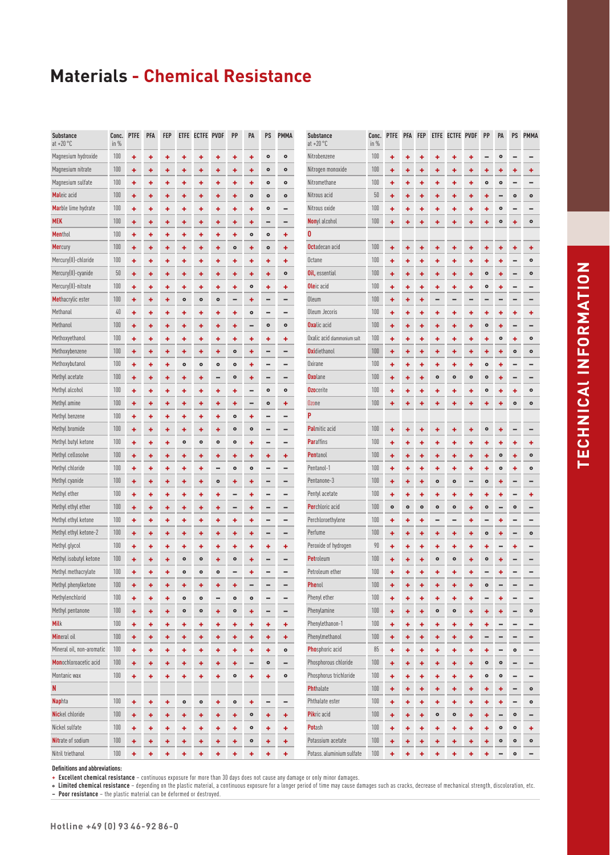| <b>Substance</b><br>$at + 20 °C$ | Conc.<br>in % | <b>PTFE</b> | <b>PFA</b> | <b>FEP</b> |           | ETFE ECTFE PVDF |           | PP        | PA        | PS        | <b>PMMA</b> | <b>Substance</b><br>at $+20$ °C | Co<br>in                 |
|----------------------------------|---------------|-------------|------------|------------|-----------|-----------------|-----------|-----------|-----------|-----------|-------------|---------------------------------|--------------------------|
| Magnesium hydroxide              | 100           | ٠           | ٠          | ٠          | ٠         | ۰               | ۰         | ٠         | ٠         | $\bullet$ | $\bullet$   | Nitrobenzene                    | $\frac{1}{2}$            |
| Magnesium nitrate                | 100           | ٠           | ٠          | ٠          | ٠         | ٠               | ٠         | ٠         | ٠         | ۰         | $\bullet$   | Nitrogen monoxide               | $\overline{\mathbf{1}}$  |
| Magnesium sulfate                | 100           | ٠           | ٠          | ٠          | ٠         | ٠               | ٠         | ٠         | ٠         | ۰         | $\circ$     | Nitromethane                    | $\frac{1}{2}$            |
| Maleic acid                      | 100           | ٠           | ۰          | ٠          | ٠         | ٠               | ۰         | ٠         | $\bullet$ | ۰         | $\bullet$   | Nitrous acid                    |                          |
| Marble lime hydrate              | 100           | ٠           | ٠          | ٠          | ٠         | ٠               | ٠         | ٠         | ٠         | $\bullet$ | -           | Nitrous oxide                   | $\frac{1}{2}$            |
| <b>MEK</b>                       | 100           | ٠           | ٠          | ٠          | ٠         | ٠               | ٠         | ٠         | ٠         |           |             | <b>Nonyl</b> alcohol            | $\overline{\mathbf{1}}$  |
| <b>Menthol</b>                   | 100           | ٠           | ٠          | ٠          | ٠         | ٠               | ۰         | ٠         | $\bullet$ | ۰         | ٠           | 0                               |                          |
| Mercury                          | 100           | ٠           | ٠          | ٠          | ٠         | ٠               | ٠         | $\bullet$ | ٠         | $\bullet$ | ÷           | <b>Octadecan acid</b>           | $\frac{1}{2}$            |
| Mercury(II)-chloride             | 100           | ٠           | ٠          | ٠          | ٠         | ٠               | ٠         | ٠         | ٠         | ٠         | ٠           | Octane                          | $\overline{\mathbf{1}}$  |
| Mercury(II)-cyanide              | 50            | ٠           | ٠          | ٠          | ٠         | ٠               | ۰         | ٠         | ٠         | ٠         | $\bullet$   | Oil, essential                  | $\frac{1}{2}$            |
| Mercury(II)-nitrate              | 100           | ٠           | ٠          | ٠          | ٠         | ٠               | ۰         | ٠         | ۰         | ٠         | ۰           | Oleic acid                      | $\overline{\mathbf{1}}$  |
| Methacrylic ester                | 100           | ٠           | ٠          | ٠          | $\bullet$ | $\bullet$       | $\bullet$ |           | ٠         |           |             | Oleum                           | $\overline{\mathbf{1}}$  |
| Methanal                         | 40            | ٠           | ٠          | ٠          | ٠         | ٠               | ٠         | ٠         | $\bullet$ |           |             | Oleum Jecoris                   | $\frac{1}{2}$            |
| Methanol                         | 100           | ٠           | ٠          | ٠          | ٠         | ٠               | ٠         | ٠         |           | $\bullet$ | $\bullet$   | <b>Oxalic</b> acid              | $\frac{1}{2}$            |
| Methoxyethanol                   | 100           | ٠           | ٠          | ٠          | ٠         | ٠               | ٠         | ٠         | ٠         | ٠         | ٠           | Oxalic acid diammonium salt     | $\overline{\mathbf{1}}$  |
| Methoxybenzene                   | 100           | ٠           | ٠          | ٠          | ٠         | ٠               | ٠         | $\bullet$ | ٠         | -         | -           | <b>Oxi</b> diethanol            | $\overline{\mathbf{1}}$  |
| Methoxybutanol                   | 100           | ٠           | ٠          | ٠          | $\bullet$ | $\bullet$       | $\bullet$ | ۰         | ٠         |           |             | Oxirane                         | $\frac{1}{2}$            |
| Methyl acetate                   | 100           | ٠           | ٠          | ٠          | ٠         | ٠               |           | $\bullet$ | ٠         |           |             | <b>Oxolane</b>                  | $\frac{1}{2}$            |
| Methyl alcohol                   | 100           | ٠           | ٠          | ٠          | ٠         | ٠               | ٠         | ٠         |           | ۰         | $\bullet$   | <b>Ozocerite</b>                | $\overline{\mathbf{1}}$  |
| Methyl amine                     | 100           | ٠           | ٠          | ٠          | ٠         | ٠               | ٠         | ٠         |           | $\bullet$ | ٠           | Ozone                           | $\overline{\mathbf{1}}$  |
| Methyl benzene                   | 100           | ٠           | ٠          | ٠          | ٠         | ۰               | ٠         | $\bullet$ | ۰         |           |             | P                               |                          |
| Methyl bromide                   | 100           | ٠           | ٠          | ٠          | ٠         | ٠               | ٠         | $\bullet$ | $\bullet$ |           |             | Palmitic acid                   | $\frac{1}{2}$            |
| Methyl butyl ketone              | 100           | ٠           | ٠          | ٠          | $\bullet$ | $\bullet$       | $\bullet$ | ۰         | ٠         |           |             | <b>Paraffins</b>                | $\frac{1}{2}$            |
| Methyl cellosolve                | 100           | ٠           | ٠          | ٠          | ٠         | ٠               | ٠         | ۰         | ٠         | ٠         | ٠           | Pentanol                        | $\frac{1}{2}$            |
| Methyl chloride                  | 100           | ٠           | ٠          | ٠          | ٠         | ٠               |           | $\bullet$ | $\bullet$ |           |             | Pentanol-1                      | $\overline{\mathbf{1}}$  |
| Methyl cyanide                   | 100           | ٠           | ٠          | ٠          | ٠         | ٠               | $\bullet$ | ٠         | ٠         |           |             | Pentanone-3                     | $\overline{\mathbf{1}}$  |
| Methyl ether                     | 100           | ۰           | ٠          | ٠          | ٠         | ۰               | ۰         |           | ٠         |           |             | Pentyl acetate                  | $\frac{1}{2}$            |
| Methyl ethyl ether               | 100           | ٠           | ٠          | ٠          | ٠         | ٠               | ٠         | -         | ٠         |           |             | Perchloric acid                 | $\frac{1}{2}$            |
| Methyl ethyl ketone              | 100           | ٠           | ٠          | ٠          | ٠         | ٠               | ٠         | ۰         | ٠         |           |             | Perchloroethylene               | $\frac{1}{2}$            |
| Methyl ethyl ketone-2            | 100           | ٠           | ٠          | ٠          | ٠         | ٠               | ٠         | ٠         | ٠         |           |             | Perfume                         | $\frac{1}{2}$            |
| Methyl glycol                    | 100           | ۰           | ٠          | ٠          | ٠         | ۰               | ۰         | ٠         | ٠         | ٠         | ٠           | Peroxide of hydrogen            | I                        |
| Methyl isobutyl ketone           | 100           | ٠           | ٠          | ٠          | $\bullet$ | $\bullet$       | ٠         | $\bullet$ | ٠         |           |             | <b>Petroleum</b>                | $\overline{\mathbf{1}}$  |
| Methyl methacrylate              | 100           | ÷           | ٠          | ٠          | $\bullet$ | $\bullet$       | $\bullet$ |           | ÷         |           |             | Petroleum ether                 | $\overline{\phantom{a}}$ |
| Methyl phenylketone              | 100           | ٠           | ٠          | ٠          | ٠         | ۰               | ۰         | ٠         |           |           |             | <b>Phenol</b>                   | $\frac{1}{2}$            |
| Methylenchlorid                  | 100           | ٠           | ٠          | ٠          | $\bullet$ | $\bullet$       |           | ۰         | ۰         |           |             | Phenyl ether                    | $\frac{1}{2}$            |
| Methyl pentanone                 | 100           | ٠           | ٠          | ٠          | $\bullet$ | $\bullet$       | ٠         | $\bullet$ | ٠         |           |             | Phenylamine                     | $\frac{1}{2}$            |
| <b>Milk</b>                      | 100           | ٠           | ٠          | ٠          | ٠         | ٠               | ٠         | ٠         | ٠         | ۰         | ٠           | Phenylethanon-1                 | $\frac{1}{2}$            |
| Mineral oil                      | 100           | ٠           | ٠          | ٠          | ٠         | ٠               | ٠         | ٠         | ٠         | ۰         | ÷           | Phenylmethanol                  | $\overline{\mathbf{1}}$  |
| Mineral oil, non-aromatic        | 100           | ٠           | ٠          | ٠          | ٠         | ٠               | ٠         | ٠         | ٠         | ٠         | $\bullet$   | <b>Phosphoric acid</b>          |                          |
| Monochloroacetic acid            | 100           | ٠           | ٠          | ٠          | ٠         | ٠               | ٠         | ٠         |           | ۰         |             | Phosphorous chloride            | $\frac{1}{2}$            |
| Montanic wax                     | 100           | ٠           | ٠          | ٠          | ٠         | ٠               | ٠         | ۰         | ٠         | ٠         | $\bullet$   | Phosphorus trichloride          | $\frac{1}{2}$            |
| N                                |               |             |            |            |           |                 |           |           |           |           |             | <b>Phthalate</b>                | $\frac{1}{2}$            |
| <b>Naphta</b>                    | 100           | ٠           | ٠          | ٠          | $\bullet$ | o               | ٠         | ۰         | ٠         |           |             | Phthalate ester                 | $\frac{1}{2}$            |
| Nickel chloride                  | 100           | ٠           | ٠          | ٠          | ٠         | ٠               | ٠         | ٠         | ۰         | ٠         | ٠           | Pikric acid                     | $\frac{1}{2}$            |
| Nickel sulfate                   | 100           | ٠           | ٠          | ٠          | ٠         | ٠               | ٠         | ٠         | ۰         | ٠         | ٠           | Potash                          | $\frac{1}{2}$            |
| Nitrate of sodium                | 100           | ٠           | ٠          | ٠          | ٠         | ٠               | ٠         | ٠         | ۰         | ٠         | ٠           | Potassium acetate               | $\frac{1}{2}$            |
| Nitril triethanol                | 100           | ٠           | ٠          | ٠          | ٠         | ٠               | ٠         | ٠         | ٠         | ٠         | ٠           | Potass. aluminium sulfate       | $\frac{1}{2}$            |

| <b>Substance</b><br>at $+20$ °C | Conc.<br>in $%$ | <b>PTFE</b> | <b>PFA</b> | <b>FEP</b> |                | ETFE ECTFE PVDF |           | PP        | PA        | PS             | <b>PMMA</b> |
|---------------------------------|-----------------|-------------|------------|------------|----------------|-----------------|-----------|-----------|-----------|----------------|-------------|
| Nitrobenzene                    | 100             | ÷           | ٠          | ۰          | ٠              | ۰               | ٠         |           | $\bullet$ |                |             |
| Nitrogen monoxide               | 100             | ٠           | ۰          | ۰          | ٠              | ٠               | ٠         | ٠         | ٠         | ۰              | ٠           |
| Nitromethane                    | 100             | ÷           | ٠          | ٠          | ÷              | ٠               | ÷         | $\bullet$ | $\bullet$ |                |             |
| Nitrous acid                    | 50              | ÷           | ÷          | ٠          | ÷              | ٠               | ÷         | ۰         |           | $\bullet$      | $\bullet$   |
| Nitrous oxide                   | 100             | ٠           | ۰          | ٠          | ۰              | ٠               | ٠         | ٠         | $\bullet$ |                |             |
| Nonyl alcohol                   | 100             | ٠           | ٠          | ٠          | ÷              | ÷               | ٠         | ÷         | $\bullet$ | ٠              | $\bullet$   |
| 0                               |                 |             |            |            |                |                 |           |           |           |                |             |
| Octadecan acid                  | 100             | ۰           | ۰          | ٠          | ٠              | ٠               | ٠         | ٠         | ٠         | ۰              | ۰           |
| Octane                          | 100             | ÷           | ٠          | ٠          | ÷              | ٠               | ٠         | ٠         | ٠         |                | $\bullet$   |
| Oil, essential                  | 100             | ÷           | ٠          | ٠          | ÷              | ÷               | ÷         | $\bullet$ | ٠         | -              | $\bullet$   |
| Oleic acid                      | 100             | ٠           | ۰          | ۰          | ٠              | +               | ٠         | ۰         | ٠         |                |             |
| Oleum                           | 100             | ٠           | ٠          | ۰          |                |                 |           |           |           |                |             |
| Oleum Jecoris                   | 100             | ٠           | ٠          | ٠          | ٠              | ٠               | ٠         | ٠         | ٠         | ٠              | ٠           |
| Oxalic acid                     | 100             | ٠           | ۰          | ٠          | ٠              | ٠               | ٠         | $\bullet$ | ٠         |                |             |
| Oxalic acid diammonium salt     | 100             | ٠           | ٠          | ٠          | ٠              | ٠               | ٠         | ٠         | $\bullet$ | ٠              | $\bullet$   |
| Oxidiethanol                    | 100             | ÷           | ÷          | ٠          | ٠              | ÷               | ٠         | ٠         | ÷         | $\bullet$      | $\bullet$   |
| Oxirane                         | 100             | ٠           | ٠          | ٠          | ٠              | ٠               | ٠         | $\bullet$ | ٠         |                |             |
| Oxolane                         | 100             | ٠           | ۰          | ٠          | $\bullet$      | $\bullet$       | $\bullet$ | $\bullet$ | ٠         |                |             |
| Ozocerite                       | 100             | ÷           | ٠          | ٠          | ÷              | ÷               | ÷         | $\bullet$ | ٠         | ٠              | $\bullet$   |
| Ozone                           | 100             | ٠           | ٠          | ٠          | ÷              | +               | ٠         | ٠         | ٠         | $\bullet$      | $\bullet$   |
| P                               |                 |             |            |            |                |                 |           |           |           |                |             |
| Palmitic acid                   | 100             | ٠           | ٠          | ٠          | ÷              | ٠               | ٠         | $\bullet$ | ٠         | -              |             |
| <b>Paraffins</b>                | 100             | ٠           | ٠          | ٠          | ٠              | +               | ٠         | ٠         | ٠         | ٠              | ٠           |
| <b>Pentanol</b>                 | 100             | ۰           | ۰          | ۰          | ۰              | ۰               | ٠         | ٠         | $\bullet$ | ٠              | $\bullet$   |
| Pentanol-1                      | 100             | ٠           | ۰          | ۰          | ۰              | ٠               | ۰         | ۰         | $\bullet$ | ۰              | $\bullet$   |
| Pentanone-3                     | 100             | ÷           | ٠          | ٠          | $\bullet$      | $\bullet$       |           | $\bullet$ | ٠         | -              |             |
| Pentyl acetate                  | 100             | ÷           | ٠          | ۰          | ٠              | +               | ٠         | ٠         | ٠         |                | ٠           |
| Perchloric acid                 | 100             | $\circ$     | $\bullet$  | $\bullet$  | $\circ$        | $\bullet$       | ٠         | $\bullet$ |           | $\bullet$      | -           |
| Perchloroethylene               | 100             | ٠           | ÷          | ٠          |                |                 | ٠         |           | ٠         |                |             |
| Perfume                         | 100             | ٠           | ٠          | ٠          | ٠              | ٠               | ٠         | $\bullet$ | ٠         | -              | $\bullet$   |
| Peroxide of hydrogen            | 90              | ٠           | ٠          | ٠          | ٠              | +               | ٠         | ۰         |           | ٠              |             |
| <b>Petroleum</b>                | 100             | ÷           | ٠          | ٠          | $\bullet$      | $\bullet$       | ÷         | $\bullet$ | ٠         |                |             |
| Petroleum ether                 | $100\,$         | ٠           | ٠          | ٠          | ٠              |                 | ٠         |           | ÷         |                |             |
| <b>Phenol</b>                   | 100             | ٠           | ٠          | ٠          | ٠              | ٠               | ٠         | $\bullet$ |           |                |             |
| Phenyl ether                    | 100             | ٠           | ٠          | ۰          | ٠              | ٠               | ٠         |           | ۰         |                | -           |
| Phenylamine                     | $100\,$         | ٠           | ٠          | ٠          | ۰              | ۰               | ٠         | ٠         | ٠         |                | ۰           |
| Phenylethanon-1                 | 100             | ٠           | ٠          | ٠          | ٠              | ٠               | ٠         | ٠         |           |                |             |
| Phenylmethanol                  | 100             | ÷           | ٠          | ٠          | ٠              | ٠               | ٠         |           |           | -              | -           |
| Phosphoric acid                 | 85              | ÷           | ٠          | ٠          | ÷              | ٠               | ÷         | ٠         |           | $\bullet$      | -           |
| Phosphorous chloride            | 100             |             |            |            |                |                 |           | ۰         | ۰         |                |             |
| Phosphorus trichloride          | 100             | ٠           | ٠          | ٠          | ٠              | ٠               | ٠         | ۰         | ۰         |                | -           |
| <b>Phthalate</b>                | $100\,$         | ٠           | ٠          | ٠          | ٠              | ٠               | ٠         |           |           |                | ۰           |
| Phthalate ester                 | $100\,$         | ٠           | ٠          | ٠          | ٠              | ٠               | ٠         | ٠         | ٠         | -              |             |
| Pikric acid                     | 100             | ٠           | ٠          | ٠          | ٠<br>$\bullet$ | ٠               | ٠         | ٠         | ٠         | -              | ۰           |
| <b>Pot</b> ash                  | 100             | ÷           | ٠          | ٠          |                | ۰               | ٠         | ٠         |           | ۰              | -           |
| Potassium acetate               | $100\,$         | ÷           | ٠          | ٠          | ÷              | ÷               | ÷         | ÷         | ۰         | $\bullet$      | ٠           |
| Potass. aluminium sulfate       | 100             | ٠           | ٠          | ٠          | ٠              | ٠               | ٠         | ٠         | ۰         | ۰<br>$\bullet$ | ۰           |
|                                 |                 | ٠           | ٠          | ٠          | ٠              | ٠               | ٠         | ÷         |           |                | -           |

**Definitions and abbreviations:**

**+ Excellent chemical resistance** – continuous exposure for more than 30 days does not cause any damage or only minor damages.

**° Limited chemical resistance** – depending on the plastic material, a continuous exposure for a longer period of time may cause damages such as cracks, decrease of mechanical strength, discoloration, etc.

**– Poor resistance** – the plastic material can be deformed or destroyed.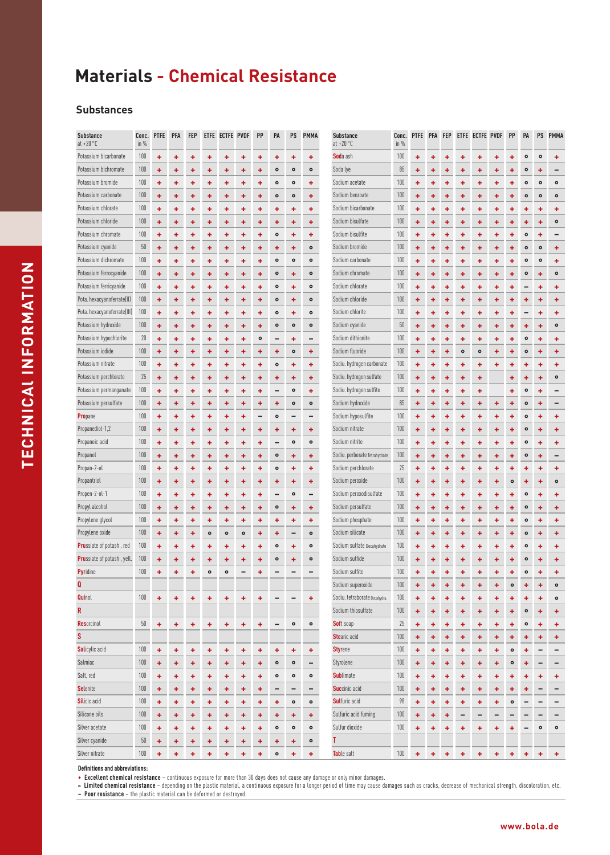#### **Substances**

| <b>Substance</b><br>at $+20\degree$ C | Conc.<br>in $%$ | <b>PTFE</b> | PFA | <b>FEP</b> |           | ETFE ECTFE PVDF |           | PP              | PA              | PS                       | <b>PMMA</b> | <b>Substance</b><br>at $+20$ °C | Conc.<br>in $%$ | PTFE PFA FEP |   |   |           | ETFE ECTFE PVDF |   | PP        | PA        | PS        | <b>PMMA</b> |
|---------------------------------------|-----------------|-------------|-----|------------|-----------|-----------------|-----------|-----------------|-----------------|--------------------------|-------------|---------------------------------|-----------------|--------------|---|---|-----------|-----------------|---|-----------|-----------|-----------|-------------|
| Potassium bicarbonate                 | 100             | ٠           | ٠   | ٠          | ۰         | ٠               | ٠         | ۰               | ٠               | ٠                        | ٠           | Soda ash                        | 100             | ٠            | ٠ | ۰ |           |                 |   |           | $\bullet$ | $\circ$   | ۰           |
| Potassium bichromate                  | 100             | ٠           | ٠   | ٠          | ۰         | ٠               | ٠         | ٠               | $\bullet$       | $\bullet$                | $\bullet$   | Soda lye                        | 85              | ٠            | ٠ | ۰ | ۰         | ۰               | ۰ | +         | ۰         |           |             |
| Potassium bromide                     | 100             | ۰           | ٠   | ٠          | ٠         | ۰               | ٠         | ۰               | $\bullet$       | $\bullet$                | ٠           | Sodium acetate                  | 100             | ٠            | ۰ | ۰ | ۰         | ۰               | ۰ | ۰         | $\bullet$ | $\bullet$ | $\bullet$   |
| Potassium carbonate                   | 100             | ٠           | ٠   | ٠          | ٠         | ٠               | ٠         | ٠               | $\bullet$       | $\bullet$                | ٠           | Sodium benzoate                 | 100             | ٠            | ٠ | ٠ | ٠         | ٠               | ۰ | ٠         | $\bullet$ | $\bullet$ | $\bullet$   |
| Potassium chlorate                    | 100             | ٠           | ٠   | ٠          | ٠         | ٠               | ٠         | ٠               | ٠               | ٠                        | ٠           | Sodium bicarbonate              | 100             | ٠            | ٠ | ۰ | ٠         | ۰               | ٠ | ٠         | ٠         | ٠         | ٠           |
| Potassium chloride                    | 100             | ۰           | ٠   | ٠          | ٠         | ٠               | ٠         | ٠               | ٠               | ٠                        | ٠           | Sodium bisulfate                | 100             | ٠            | ۰ | ۰ | ٠         | ٠               | ۰ | ۰         | ۰         | ٠         | $\bullet$   |
| Potassium chromate                    | 100             | ٠           | ٠   | ٠          | ٠         | ٠               | ٠         | ٠               | $\bullet$       | ٠                        | ÷           | Sodium bisulfite                | 100             | ٠            | ٠ | ۰ | ٠         | ٠               | ٠ | ٠         | $\bullet$ | ٠         |             |
| Potassium cyanide                     | 50              | ÷           | ٠   | ٠          | ٠         | ٠               | ٠         | ٠               | ۰               | ٠                        | $\bullet$   | Sodium bromide                  | 100             | ٠            | ٠ | ۰ | ٠         | ٠               | ٠ | ٠         | $\bullet$ | $\bullet$ | ٠           |
| Potassium dichromate                  | 100             | ٠           | ٠   | ٠          | ٠         | ٠               | ٠         | ٠               | $\bullet$       | $\bullet$                | $\bullet$   | Sodium carbonate                | 100             | ٠            | ۰ | ۰ | ۰         | ۰               | ٠ | ٠         | $\bullet$ | $\bullet$ | ٠           |
| Potassium ferrocyanide                | 100             | ٠           | ٠   | ٠          | ٠         | ÷               | ٠         | ٠               | $\bullet$       | ٠                        | $\bullet$   | Sodium chromate                 | 100             | ٠            | ٠ | ٠ | ٠         | ٠               | ٠ | ٠         | $\bullet$ | ÷         | $\bullet$   |
| Potassium ferricyanide                | 100             | ٠           | ٠   | ٠          | ٠         | ٠               | ٠         | ٠               | $\bullet$       | ٠                        | $\bullet$   | Sodium chlorate                 | 100             | ٠            | ٠ | ٠ | ٠         | ٠               | ٠ | ٠         |           | ٠         | ٠           |
| Pota. hexacyanoferrate(II)            | 100             | ٠           | ٠   | ٠          | ٠         | ٠               | +         | ٠               | $\bullet$       | ٠                        | $\bullet$   | Sodium chloride                 | 100             | ٠            | ٠ | ۰ | ٠         | ٠               | ۰ | ۰         | ۰         | ٠         | ٠           |
| Pota. hexacyanoferrate(III)           | 100             | ٠           | ٠   | ٠          | ٠         | ٠               | ٠         | ٠               | $\bullet$       | ٠                        | $\bullet$   | Sodium chlorite                 | 100             | ٠            | ۰ | ۰ | ٠         | ٠               | ٠ | ٠         |           | ٠         | ٠           |
| Potassium hydroxide                   | 100             | ٠           | ٠   | ٠          | ٠         | ٠               | ٠         | ٠               | $\bullet$       | $\bullet$                | $\bullet$   | Sodium cyanide                  | 50              | ٠            | ٠ | ۰ | ٠         | ٠               | ٠ | ٠         | ۰         | ٠         | $\bullet$   |
| Potassium hypochlorite                | 20              | ٠           | ٠   | ٠          | ٠         | ٠               | ٠         | $\circ$         |                 | ٠                        |             | Sodium dithionite               | 100             | ٠            | + | ۰ | ٠         | ۰               | ٠ | ٠         | $\bullet$ | ٠         | ٠           |
| Potassium iodide                      | 100             | ٠           | ٠   | ٠          | ٠         | ٠               | ٠         | ٠               | ٠               | $\bullet$                | ٠           | Sodium fluoride                 | 100             | ٠            | ٠ | ٠ | $\bullet$ | $\bullet$       | ٠ | ٠         | $\bullet$ | ٠         | ٠           |
| Potassium nitrate                     | 100             | ÷           | ٠   | ٠          | ٠         | ٠               | ٠         | ٠               | $\bullet$       | ٠                        | ÷           | Sodiu. hydrogen carbonate       | 100             | ٠            | ٠ | ٠ | ٠         | ۰               | ۰ | ۰         | ۰         | ٠         | ٠           |
| Potassium perchlorate                 | 25              | ۰           | ٠   | ٠          | ٠         | ÷               | +         | ٠               | ٠               | ٠                        | ٠           | Sodiu. hydrogen sulfate         | 100             | ٠            | ٠ | ٠ | ٠         | ٠               |   | ÷         | ٠         | ÷         | $\bullet$   |
| Potassium permanganate                | 100             | ۰           | ٠   | ٠          | ۰         | ٠               | ۰         | ۰               |                 | $\bullet$                | ٠           | Sodiu. hydrogen sulfite         | 100             | ٠            | ۰ | ۰ | ٠         | ۰               |   | ٠         | $\bullet$ |           |             |
| Potassium persulfate                  | 100             | ٠           | ÷   | ٠          | ٠         | ٠               | ÷         | ٠               | ٠               | $\bullet$                | $\bullet$   | Sodium hydroxide                | 85              | ٠            | ٠ | ٠ | ٠         | ٠               | ۰ | ٠         | $\bullet$ | ٠         |             |
| <b>Propane</b>                        | 100             | ٠           | ٠   | ٠          | ٠         | ٠               | ٠         | $\qquad \qquad$ | $\bullet$       | $\overline{\phantom{0}}$ | -           | Sodium hyposulfite              | 100             | ٠            | ٠ | ۰ | ٠         | ٠               | ۰ | ٠         | $\bullet$ | ÷         | ٠           |
| Propanediol-1,2                       | 100             | ٠           | ٠   | ٠          | ٠         | ٠               | ٠         | ٠               | ٠               | ٠                        | ٠           | Sodium nitrate                  | 100             | ٠            | ٠ | ۰ | ٠         | ۰               | ۰ | ۰         | $\bullet$ | ٠         | ٠           |
| Propanoic acid                        | 100             | ٠           | ÷   | ٠          | ٠         | ٠               | ٠         | ٠               |                 | $\bullet$                | $\bullet$   | Sodium nitrite                  | 100             | ٠            | ۰ | ٠ | ٠         | ٠               | ٠ | ٠         | $\bullet$ | ÷         | ٠           |
| Propanol                              | 100             | ٠           | ٠   | ٠          | ٠         | ٠               | ٠         | ٠               | $\bullet$       | ٠                        | ٠           | Sodiu. perborate Tetrahydrate   | 100             | ٠            | ٠ | ٠ | ٠         | ٠               | ۰ | ٠         | $\bullet$ | ٠         |             |
| Propan-2-ol                           | 100             | ٠           | ٠   | ٠          | ۰         | ٠               | ٠         | ۰               | $\bullet$       | ٠                        | ٠           | Sodium perchlorate              | 25              | ٠            | ۰ | ۰ | +         | ٠               | ۰ | ۰         | ۰         | ۰         | ٠           |
| Propantriol                           | 100             | ٠           | ٠   | ٠          | ۰         | ۰               | ٠         | ٠               | ۰               | ۰                        | ٠           | Sodium peroxide                 | 100             | ٠            | ۰ | ۰ | ۰         | ٠               | ۰ | $\bullet$ | ٠         | ۰         | $\bullet$   |
| Propen-2-ol-1                         | 100             | ٠           | ٠   | ٠          | ٠         | ٠               | ٠         | ۰               | $\qquad \qquad$ | $\bullet$                | -           | Sodium peroxodisulfate          | 100             | ٠            | ٠ | ۰ | ٠         | ۰               | ۰ | ٠         | $\bullet$ | ٠         | ٠           |
| Propyl alcohol                        | 100             | ÷           | ٠   | ٠          | ٠         | ٠               | ٠         | ٠               | $\bullet$       | ٠                        | ٠           | Sodium persulfate               | 100             | ٠            | ٠ | ٠ | ٠         | ٠               | ٠ | ٠         | $\bullet$ | ÷         | ٠           |
| Propylene glycol                      | 100             | ٠           | ٠   | ٠          | ۰         | ٠               | ۰         | ٠               | ۰               | ٠                        | ٠           | Sodium phosphate                | 100             | ٠            | ۰ | ۰ | ۰         | ۰               | ۰ | ۰         | $\bullet$ | ٠         | ٠           |
| Propylene oxide                       | 100             | ٠           | ÷   | ÷          | $\bullet$ | $\bullet$       | $\bullet$ | ٠               | ٠               | $\overline{\phantom{0}}$ | $\bullet$   | Sodium silicate                 | 100             | ٠            | ٠ | ۰ | ٠         | ٠               | ٠ | ٠         | $\bullet$ | ÷         | ٠           |
| <b>Pru</b> ssiate of potash, red      | 100             | ٠           | ٠   | ۰          | ۰         | ٠               | ٠         | ۰               | $\bullet$       | ٠                        | $\bullet$   | Sodium sulfate Decahydrate      | 100             | ٠            | ۰ | ۰ | ٠         | ۰               | ۰ | ٠         | $\bullet$ | ٠         | ٠           |
| <b>Pru</b> ssiate of potash, yell.    | 100             | ۰           | ٠   | ۰          | ۰         | ٠               | ۰         | ٠               | $\bullet$       | ۰                        | $\bullet$   | Sodium sulfide                  | 100             | ٠            | ۰ |   | ۰         | ۰               | ٠ | ٠         | $\bullet$ |           | ٠           |
| <b>Pyridine</b>                       | 100             | ٠           | ۰   | ٠          | $\bullet$ | $\circ$         |           | ٠               |                 |                          |             | Sodium sulfite                  | 100             | ۰            | ٠ | ۰ | ٠         | ۰               | ٠ | ٠         | $\bullet$ | ٠         | ۰           |
| $\mathbf{Q}$                          |                 |             |     |            |           |                 |           |                 |                 |                          |             | Sodium superoxide               | 100             | ٠            | ٠ | ٠ | ٠         | ۰               | ۰ | $\bullet$ | ۰         | ٠         | $\bullet$   |
| <b>Quinol</b>                         | 100             | ٠           | ٠   | ٠          | ٠         | ۰               | ٠         | ٠               |                 |                          | ٠           | Sodiu. tetraborate Decahydra.   | 100             | ٠            | ۰ | ٠ | ٠         | ۰               | ٠ | ۰         | ٠         | ÷         | $\bullet$   |
| R                                     |                 |             |     |            |           |                 |           |                 |                 |                          |             | Sodium thiosulfate              | 100             | ٠            | ٠ | ٠ | ÷         | ٠               | ٠ | ٠         | $\bullet$ | ÷         | ٠           |
| <b>Resorcinol</b>                     | 50              | ٠           | ٠   | ٠          | ٠         | ٠               | ٠         | ٠               |                 | $\bullet$                | $\bullet$   | <b>Soft soap</b>                | 25              | ٠            | ٠ | ٠ | ٠         | ٠               | ٠ | ٠         | $\bullet$ | ٠         | ٠           |
| S                                     |                 |             |     |            |           |                 |           |                 |                 |                          |             | <b>Stearic acid</b>             | 100             | ٠            | ٠ | ٠ | ٠         | ٠               | ٠ | ٠         | ٠         | ٠         | ٠           |
| <b>Salicylic acid</b>                 | 100             | ٠           | ٠   | ٠          | ٠         | ٠               | ٠         | ٠               | ٠               | ٠                        | ٠           | <b>Styrene</b>                  | 100             | ٠            | ۰ | ٠ | ٠         | ٠               | ٠ | $\bullet$ | ٠         | -         | -           |
| Salmiac                               | 100             | ÷           | ٠   | ٠          | ٠         | ٠               | ٠         | ٠               | $\bullet$       | $\bullet$                | -           | Styrolene                       | 100             | ٠            | ٠ | ٠ | ÷         | ٠               | ٠ | $\bullet$ | ٠         | -         | -           |
| Salt, red                             | 100             | ÷           | ٠   | ٠          | ٠         | ÷               | ٠         | ٠               | $\bullet$       | $\bullet$                | $\bullet$   | <b>Sublimate</b>                | 100             | ٠            | ۰ | ٠ | ٠         | ۰               | ۰ | ٠         | ۰         | ٠         | ٠           |
| <b>Selenite</b>                       | 100             | ٠           | ٠   | ٠          | ٠         | ٠               | ٠         | ٠               |                 | $\overline{\phantom{0}}$ | -           | Succinic acid                   | 100             | ٠            | ٠ | ۰ | ٠         | ٠               | ۰ | +         |           |           | -           |
| <b>Silicic</b> acid                   | 100             | ٠           | ٠   | ٠          | ٠         | ٠               | ٠         | ٠               | ٠               | $\bullet$                | $\bullet$   | <b>Sulfuric acid</b>            | 98              | ٠            | ۰ | ۰ | ٠         | ٠               | ٠ | $\bullet$ |           |           | -           |
| Silicone oils                         | 100             | ٠           | ٠   | ٠          | ٠         | ٠               | ٠         | ٠               | ٠               | ٠                        | ٠           | Sulfuric acid fuming            | 100             | ٠            | ٠ | ٠ | -         | -               | - |           |           |           | ۰           |
| Silver acetate                        | 100             | ٠           | ٠   | ٠          | ٠         | ۰               | ٠         | ٠               | $\bullet$       | $\bullet$                | $\bullet$   | Sulfur dioxide                  | 100             | ٠            | ۰ | ۰ | ۰         | ۰               | ۰ | ۰         |           | $\bullet$ | $\bullet$   |
| Silver cyanide                        | 50              | ٠           | ٠   | ٠          | ٠         | ٠               | ٠         | ٠               | ٠               | ٠                        | $\bullet$   | Т                               |                 |              |   |   |           |                 |   |           |           |           |             |
| Silver nitrate                        | 100             | ÷           | ÷   | ٠          | ٠         | ٠               | ÷         | ٠               | $\bullet$       | ٠                        | ÷           | Table salt                      | 100             | ٠            | ٠ | ٠ | ٠         | ٠               | ٠ | ÷         | ٠         | ٠         | ٠           |

**Definitions and abbreviations:**

**+ Excellent chemical resistance** – continuous exposure for more than 30 days does not cause any damage or only minor damages.

• Limited chemical resistance – depending on the plastic material, a continuous exposure for a longer period of time may cause damages such as cracks, decrease of mechanical strength, discoloration, etc.<br>— Poor resistance